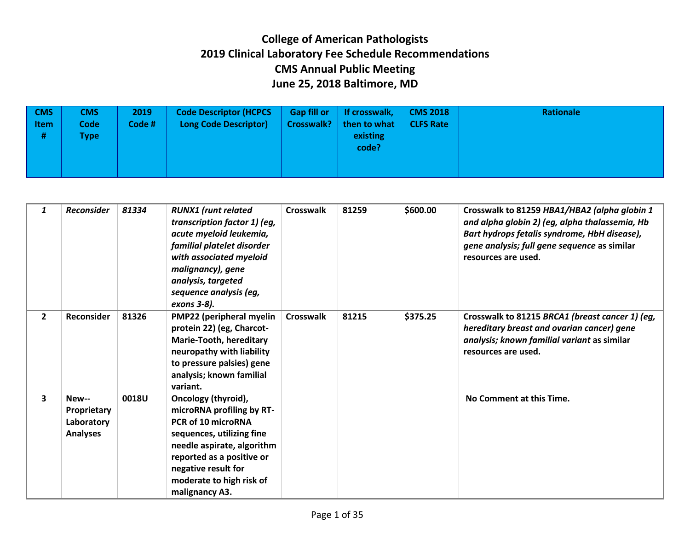| $\sqrt{CMS}$<br><b>Item</b><br># | <b>CMS</b><br><b>Code</b><br><b>Type</b> | 2019<br>Code # | <b>Code Descriptor (HCPCS</b><br><b>Long Code Descriptor)</b> | <b>Gap fill or</b><br><b>Crosswalk?</b> | If crosswalk,<br>then to what<br>existing<br>code? | <b>CMS 2018</b><br><b>CLFS Rate</b> | Rationale |
|----------------------------------|------------------------------------------|----------------|---------------------------------------------------------------|-----------------------------------------|----------------------------------------------------|-------------------------------------|-----------|
|----------------------------------|------------------------------------------|----------------|---------------------------------------------------------------|-----------------------------------------|----------------------------------------------------|-------------------------------------|-----------|

| 1            | <b>Reconsider</b>                                     | 81334 | <b>RUNX1</b> (runt related<br>transcription factor 1) (eg,<br>acute myeloid leukemia,<br>familial platelet disorder<br>with associated myeloid<br>malignancy), gene<br>analysis, targeted<br>sequence analysis (eg,<br>exons 3-8).  | Crosswalk        | 81259 | \$600.00 | Crosswalk to 81259 HBA1/HBA2 (alpha globin 1<br>and alpha globin 2) (eg, alpha thalassemia, Hb<br>Bart hydrops fetalis syndrome, HbH disease),<br>gene analysis; full gene sequence as similar<br>resources are used. |
|--------------|-------------------------------------------------------|-------|-------------------------------------------------------------------------------------------------------------------------------------------------------------------------------------------------------------------------------------|------------------|-------|----------|-----------------------------------------------------------------------------------------------------------------------------------------------------------------------------------------------------------------------|
| $\mathbf{2}$ | Reconsider                                            | 81326 | PMP22 (peripheral myelin<br>protein 22) (eg, Charcot-<br><b>Marie-Tooth, hereditary</b><br>neuropathy with liability<br>to pressure palsies) gene<br>analysis; known familial<br>variant.                                           | <b>Crosswalk</b> | 81215 | \$375.25 | Crosswalk to 81215 BRCA1 (breast cancer 1) (eg,<br>hereditary breast and ovarian cancer) gene<br>analysis; known familial variant as similar<br>resources are used.                                                   |
| 3            | New--<br>Proprietary<br>Laboratory<br><b>Analyses</b> | 0018U | Oncology (thyroid),<br>microRNA profiling by RT-<br>PCR of 10 microRNA<br>sequences, utilizing fine<br>needle aspirate, algorithm<br>reported as a positive or<br>negative result for<br>moderate to high risk of<br>malignancy A3. |                  |       |          | No Comment at this Time.                                                                                                                                                                                              |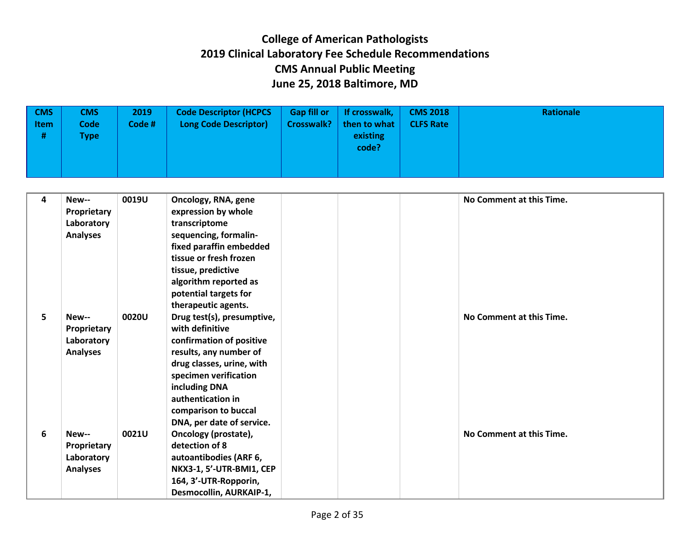| $\sqrt{CMS}$<br><b>Item</b><br># | <b>CMS</b><br><b>Code</b><br><b>Type</b> | 2019<br>Code # | <b>Code Descriptor (HCPCS</b><br><b>Long Code Descriptor)</b> | <b>Gap fill or</b><br><b>Crosswalk?</b> | If crosswalk,<br>then to what<br>existing<br>code? | <b>CMS 2018</b><br><b>CLFS Rate</b> | Rationale |
|----------------------------------|------------------------------------------|----------------|---------------------------------------------------------------|-----------------------------------------|----------------------------------------------------|-------------------------------------|-----------|
|                                  |                                          |                |                                                               |                                         |                                                    |                                     |           |

| 4 | New--           | 0019U | Oncology, RNA, gene        | No Comment at this Time. |
|---|-----------------|-------|----------------------------|--------------------------|
|   | Proprietary     |       | expression by whole        |                          |
|   | Laboratory      |       | transcriptome              |                          |
|   | <b>Analyses</b> |       | sequencing, formalin-      |                          |
|   |                 |       | fixed paraffin embedded    |                          |
|   |                 |       | tissue or fresh frozen     |                          |
|   |                 |       | tissue, predictive         |                          |
|   |                 |       | algorithm reported as      |                          |
|   |                 |       | potential targets for      |                          |
|   |                 |       | therapeutic agents.        |                          |
| 5 | New--           | 0020U | Drug test(s), presumptive, | No Comment at this Time. |
|   | Proprietary     |       | with definitive            |                          |
|   | Laboratory      |       | confirmation of positive   |                          |
|   | <b>Analyses</b> |       | results, any number of     |                          |
|   |                 |       | drug classes, urine, with  |                          |
|   |                 |       | specimen verification      |                          |
|   |                 |       | including DNA              |                          |
|   |                 |       | authentication in          |                          |
|   |                 |       | comparison to buccal       |                          |
|   |                 |       | DNA, per date of service.  |                          |
| 6 | New--           | 0021U | Oncology (prostate),       | No Comment at this Time. |
|   | Proprietary     |       | detection of 8             |                          |
|   | Laboratory      |       | autoantibodies (ARF 6,     |                          |
|   | <b>Analyses</b> |       | NKX3-1, 5'-UTR-BMI1, CEP   |                          |
|   |                 |       | 164, 3'-UTR-Ropporin,      |                          |
|   |                 |       | Desmocollin, AURKAIP-1,    |                          |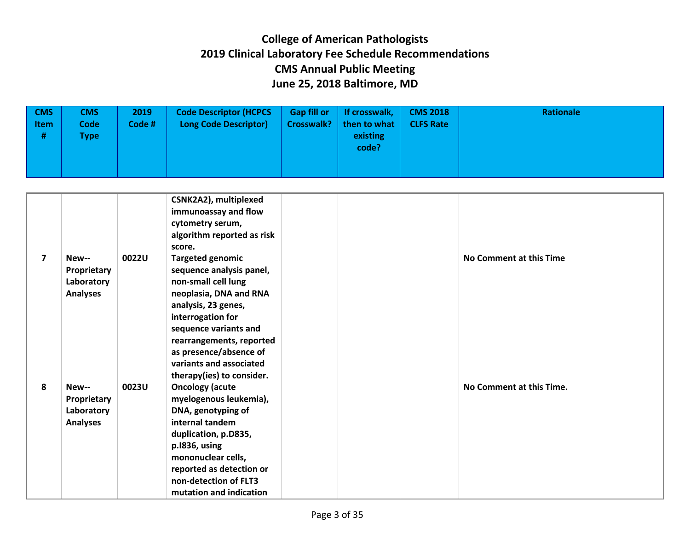| $\sqrt{CMS}$<br><b>Item</b><br># | <b>CMS</b><br><b>Code</b><br><b>Type</b> | 2019<br>Code # | <b>Code Descriptor (HCPCS</b><br><b>Long Code Descriptor)</b> | <b>Gap fill or</b><br><b>Crosswalk?</b> | If crosswalk,<br>then to what<br>existing<br>code? | <b>CMS 2018</b><br><b>CLFS Rate</b> | Rationale |
|----------------------------------|------------------------------------------|----------------|---------------------------------------------------------------|-----------------------------------------|----------------------------------------------------|-------------------------------------|-----------|
|                                  |                                          |                |                                                               |                                         |                                                    |                                     |           |

| 7 |                 | 0022U | CSNK2A2), multiplexed<br>immunoassay and flow<br>cytometry serum,<br>algorithm reported as risk<br>score. |  | No Comment at this Time  |
|---|-----------------|-------|-----------------------------------------------------------------------------------------------------------|--|--------------------------|
|   | New--           |       | <b>Targeted genomic</b>                                                                                   |  |                          |
|   | Proprietary     |       | sequence analysis panel,                                                                                  |  |                          |
|   | Laboratory      |       | non-small cell lung                                                                                       |  |                          |
|   | <b>Analyses</b> |       | neoplasia, DNA and RNA                                                                                    |  |                          |
|   |                 |       | analysis, 23 genes,                                                                                       |  |                          |
|   |                 |       | interrogation for                                                                                         |  |                          |
|   |                 |       | sequence variants and                                                                                     |  |                          |
|   |                 |       | rearrangements, reported                                                                                  |  |                          |
|   |                 |       | as presence/absence of                                                                                    |  |                          |
|   |                 |       | variants and associated                                                                                   |  |                          |
|   |                 |       | therapy(ies) to consider.                                                                                 |  |                          |
| 8 | New--           | 0023U | <b>Oncology (acute</b>                                                                                    |  | No Comment at this Time. |
|   | Proprietary     |       | myelogenous leukemia),                                                                                    |  |                          |
|   | Laboratory      |       | DNA, genotyping of                                                                                        |  |                          |
|   | <b>Analyses</b> |       | internal tandem                                                                                           |  |                          |
|   |                 |       | duplication, p.D835,                                                                                      |  |                          |
|   |                 |       | p.1836, using                                                                                             |  |                          |
|   |                 |       | mononuclear cells,                                                                                        |  |                          |
|   |                 |       | reported as detection or                                                                                  |  |                          |
|   |                 |       | non-detection of FLT3                                                                                     |  |                          |
|   |                 |       | mutation and indication                                                                                   |  |                          |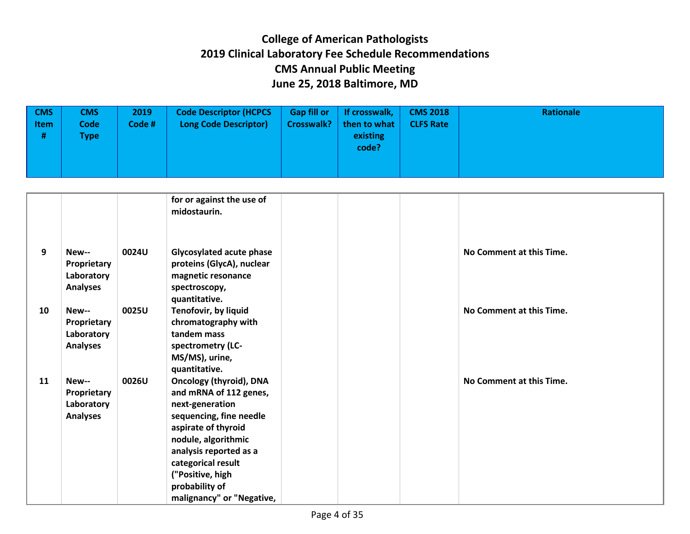| $ $ CMS<br><b>Item</b><br># | <b>CMS</b><br><b>Code</b><br>Гуре | 2019<br>Code # | <b>Code Descriptor (HCPCS</b><br><b>Long Code Descriptor)</b> | <b>Gap fill or</b><br><b>Crosswalk?</b> | If crosswalk,<br>then to what<br>existing<br>code? | <b>CMS 2018</b><br><b>CLFS Rate</b> | Rationale |
|-----------------------------|-----------------------------------|----------------|---------------------------------------------------------------|-----------------------------------------|----------------------------------------------------|-------------------------------------|-----------|
|                             |                                   |                |                                                               |                                         |                                                    |                                     |           |

|    |                                                       |       | for or against the use of<br>midostaurin.                                                                                                                                                                                                                               |  |                          |
|----|-------------------------------------------------------|-------|-------------------------------------------------------------------------------------------------------------------------------------------------------------------------------------------------------------------------------------------------------------------------|--|--------------------------|
| 9  | New--<br>Proprietary<br>Laboratory<br><b>Analyses</b> | 0024U | Glycosylated acute phase<br>proteins (GlycA), nuclear<br>magnetic resonance<br>spectroscopy,<br>quantitative.                                                                                                                                                           |  | No Comment at this Time. |
| 10 | New--<br>Proprietary<br>Laboratory<br><b>Analyses</b> | 0025U | Tenofovir, by liquid<br>chromatography with<br>tandem mass<br>spectrometry (LC-<br>MS/MS), urine,<br>quantitative.                                                                                                                                                      |  | No Comment at this Time. |
| 11 | New--<br>Proprietary<br>Laboratory<br><b>Analyses</b> | 0026U | <b>Oncology (thyroid), DNA</b><br>and mRNA of 112 genes,<br>next-generation<br>sequencing, fine needle<br>aspirate of thyroid<br>nodule, algorithmic<br>analysis reported as a<br>categorical result<br>("Positive, high<br>probability of<br>malignancy" or "Negative, |  | No Comment at this Time. |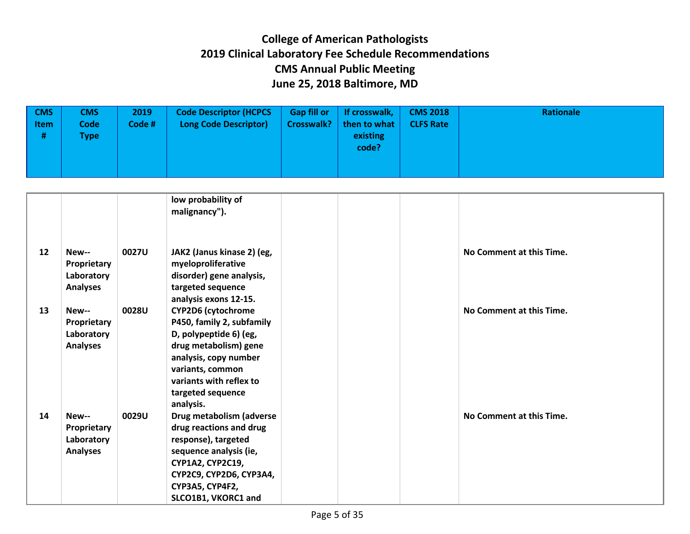| $ $ CMS<br>ltem<br># | <b>CMS</b><br>Code<br><b>Type</b> | 2019<br>Code # | <b>Code Descriptor (HCPCS</b><br><b>Long Code Descriptor)</b> | <b>Gap fill or</b><br><b>Crosswalk?</b> | If crosswalk,<br>then to what<br>existing<br>code? | <b>CMS 2018</b><br><b>CLFS Rate</b> | <b>Rationale</b> |
|----------------------|-----------------------------------|----------------|---------------------------------------------------------------|-----------------------------------------|----------------------------------------------------|-------------------------------------|------------------|
|                      |                                   |                |                                                               |                                         |                                                    |                                     |                  |

|    |                                                       |       | low probability of<br>malignancy").                                                                                                                                                                                 |  |                          |
|----|-------------------------------------------------------|-------|---------------------------------------------------------------------------------------------------------------------------------------------------------------------------------------------------------------------|--|--------------------------|
| 12 | New--<br>Proprietary<br>Laboratory<br><b>Analyses</b> | 0027U | JAK2 (Janus kinase 2) (eg,<br>myeloproliferative<br>disorder) gene analysis,<br>targeted sequence<br>analysis exons 12-15.                                                                                          |  | No Comment at this Time. |
| 13 | New--<br>Proprietary<br>Laboratory<br><b>Analyses</b> | 0028U | <b>CYP2D6 (cytochrome</b><br>P450, family 2, subfamily<br>D, polypeptide 6) (eg,<br>drug metabolism) gene<br>analysis, copy number<br>variants, common<br>variants with reflex to<br>targeted sequence<br>analysis. |  | No Comment at this Time. |
| 14 | New--<br>Proprietary<br>Laboratory<br><b>Analyses</b> | 0029U | Drug metabolism (adverse<br>drug reactions and drug<br>response), targeted<br>sequence analysis (ie,<br><b>CYP1A2, CYP2C19,</b><br>CYP2C9, CYP2D6, CYP3A4,<br><b>CYP3A5, CYP4F2,</b><br>SLCO1B1, VKORC1 and         |  | No Comment at this Time. |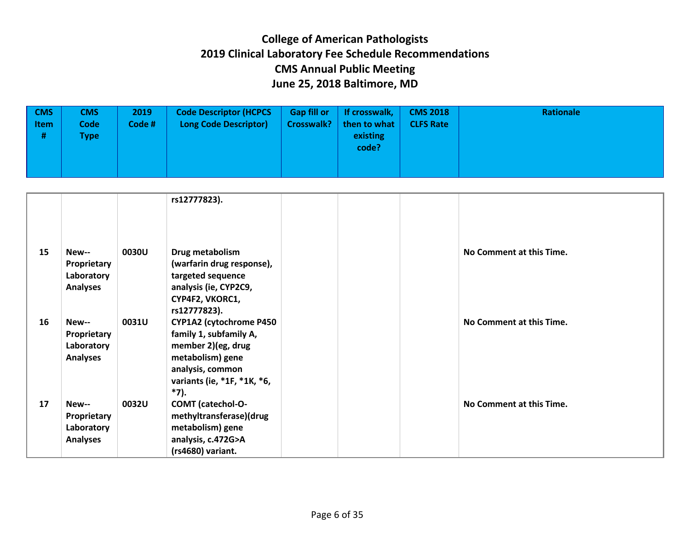| $\sqrt{CMS}$<br><b>Item</b><br># | <b>CMS</b><br><b>Code</b><br><b>Type</b> | 2019<br>Code # | <b>Code Descriptor (HCPCS</b><br><b>Long Code Descriptor)</b> | <b>Gap fill or</b><br><b>Crosswalk?</b> | If crosswalk,<br>then to what<br>existing<br>code? | <b>CMS 2018</b><br><b>CLFS Rate</b> | <b>Rationale</b> |
|----------------------------------|------------------------------------------|----------------|---------------------------------------------------------------|-----------------------------------------|----------------------------------------------------|-------------------------------------|------------------|
|                                  |                                          |                |                                                               |                                         |                                                    |                                     |                  |

|    |                                                       |       | rs12777823).                                                                                                               |                          |  |
|----|-------------------------------------------------------|-------|----------------------------------------------------------------------------------------------------------------------------|--------------------------|--|
| 15 | New--<br>Proprietary<br>Laboratory<br><b>Analyses</b> | 0030U | Drug metabolism<br>(warfarin drug response),<br>targeted sequence<br>analysis (ie, CYP2C9,                                 | No Comment at this Time. |  |
| 16 | New--                                                 | 0031U | CYP4F2, VKORC1,<br>rs12777823).<br><b>CYP1A2 (cytochrome P450)</b>                                                         | No Comment at this Time. |  |
|    | Proprietary<br>Laboratory<br><b>Analyses</b>          |       | family 1, subfamily A,<br>member 2)(eg, drug<br>metabolism) gene<br>analysis, common<br>variants (ie, *1F, *1K, *6,        |                          |  |
| 17 | New--<br>Proprietary<br>Laboratory<br><b>Analyses</b> | 0032U | *7).<br><b>COMT</b> (catechol-O-<br>methyltransferase)(drug<br>metabolism) gene<br>analysis, c.472G>A<br>(rs4680) variant. | No Comment at this Time. |  |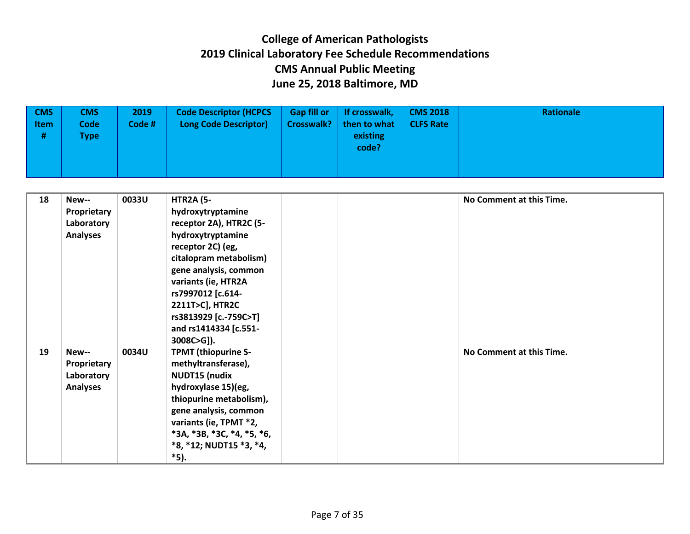| <b>CMS</b><br><b>Item</b><br># | <b>CMS</b><br><b>Code</b><br><b>Type</b> | 2019<br>Code # | <b>Code Descriptor (HCPCS</b><br><b>Long Code Descriptor)</b> | <b>Gap fill or</b><br><b>Crosswalk?</b> | If crosswalk,<br>then to what<br>existing<br>code? | <b>CMS 2018</b><br><b>CLFS Rate</b> | Rationale |
|--------------------------------|------------------------------------------|----------------|---------------------------------------------------------------|-----------------------------------------|----------------------------------------------------|-------------------------------------|-----------|
|--------------------------------|------------------------------------------|----------------|---------------------------------------------------------------|-----------------------------------------|----------------------------------------------------|-------------------------------------|-----------|

| 18 | New--                     | 0033U | <b>HTR2A (5-</b>                             |  | No Comment at this Time. |
|----|---------------------------|-------|----------------------------------------------|--|--------------------------|
|    | Proprietary<br>Laboratory |       | hydroxytryptamine<br>receptor 2A), HTR2C (5- |  |                          |
|    | <b>Analyses</b>           |       | hydroxytryptamine                            |  |                          |
|    |                           |       | receptor 2C) (eg,                            |  |                          |
|    |                           |       | citalopram metabolism)                       |  |                          |
|    |                           |       | gene analysis, common                        |  |                          |
|    |                           |       | variants (ie, HTR2A                          |  |                          |
|    |                           |       | rs7997012 [c.614-                            |  |                          |
|    |                           |       | 2211T>C], HTR2C                              |  |                          |
|    |                           |       | rs3813929 [c.-759C>T]                        |  |                          |
|    |                           |       | and rs1414334 [c.551-<br>$3008C > G$ ]).     |  |                          |
| 19 | New--                     | 0034U | <b>TPMT (thiopurine S-</b>                   |  | No Comment at this Time. |
|    | Proprietary               |       | methyltransferase),                          |  |                          |
|    | Laboratory                |       | <b>NUDT15 (nudix</b>                         |  |                          |
|    | <b>Analyses</b>           |       | hydroxylase 15)(eg,                          |  |                          |
|    |                           |       | thiopurine metabolism),                      |  |                          |
|    |                           |       | gene analysis, common                        |  |                          |
|    |                           |       | variants (ie, TPMT *2,                       |  |                          |
|    |                           |       | $*3A, *3B, *3C, *4, *5, *6,$                 |  |                          |
|    |                           |       | *8, *12; NUDT15 *3, *4,                      |  |                          |
|    |                           |       | *5).                                         |  |                          |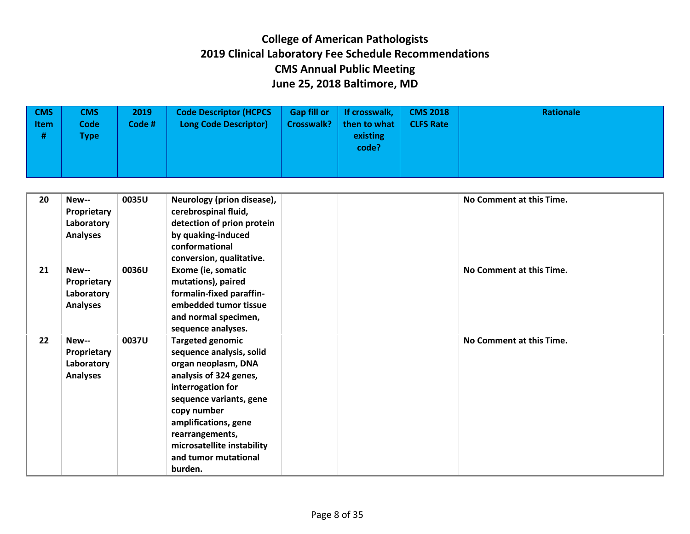| <b>CMS</b><br>$\vert$ Item<br># | CMS<br><b>Code</b><br>Type i | 2019<br>Code# | <b>Code Descriptor (HCPCS</b><br><b>Long Code Descriptor)</b> | <b>Gap fill or</b><br><b>Crosswalk?</b> | If crosswalk,<br>then to what<br>existing<br>code? | <b>CMS 2018</b><br><b>CLFS Rate</b> | Rationale |
|---------------------------------|------------------------------|---------------|---------------------------------------------------------------|-----------------------------------------|----------------------------------------------------|-------------------------------------|-----------|
|                                 |                              |               |                                                               |                                         |                                                    |                                     |           |

| 20 | New--           | 0035U        | Neurology (prion disease), | No Comment at this Time. |
|----|-----------------|--------------|----------------------------|--------------------------|
|    | Proprietary     |              | cerebrospinal fluid,       |                          |
|    | Laboratory      |              | detection of prion protein |                          |
|    | <b>Analyses</b> |              | by quaking-induced         |                          |
|    |                 |              | conformational             |                          |
|    |                 |              | conversion, qualitative.   |                          |
| 21 | New--           | 0036U        | Exome (ie, somatic         | No Comment at this Time. |
|    | Proprietary     |              | mutations), paired         |                          |
|    | Laboratory      |              | formalin-fixed paraffin-   |                          |
|    | <b>Analyses</b> |              | embedded tumor tissue      |                          |
|    |                 |              | and normal specimen,       |                          |
|    |                 |              | sequence analyses.         |                          |
| 22 | New--           | <b>0037U</b> | <b>Targeted genomic</b>    | No Comment at this Time. |
|    | Proprietary     |              | sequence analysis, solid   |                          |
|    | Laboratory      |              | organ neoplasm, DNA        |                          |
|    | <b>Analyses</b> |              | analysis of 324 genes,     |                          |
|    |                 |              | interrogation for          |                          |
|    |                 |              | sequence variants, gene    |                          |
|    |                 |              | copy number                |                          |
|    |                 |              | amplifications, gene       |                          |
|    |                 |              | rearrangements,            |                          |
|    |                 |              | microsatellite instability |                          |
|    |                 |              | and tumor mutational       |                          |
|    |                 |              | burden.                    |                          |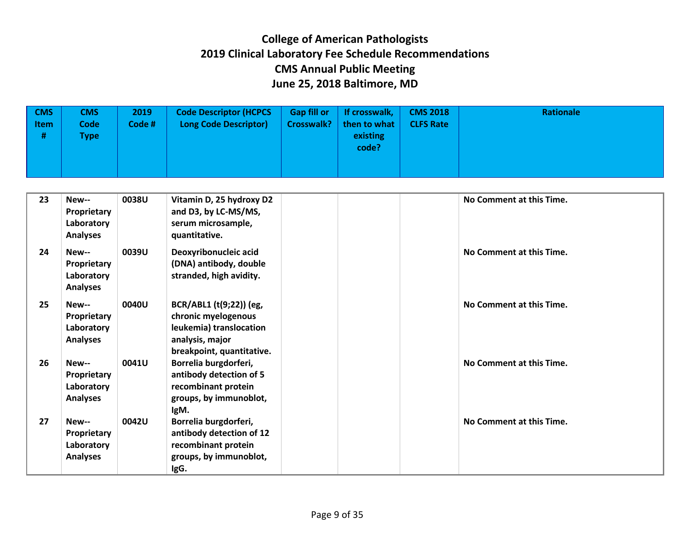| $ $ CMS<br>ltem<br># | CMS<br>Code<br><b>Type</b> | 2019<br>Code # | <b>Code Descriptor (HCPCS</b><br><b>Long Code Descriptor)</b> | <b>Gap fill or</b><br><b>Crosswalk?</b> | If crosswalk,<br>then to what<br>existing<br>code? | <b>CMS 2018</b><br><b>CLFS Rate</b> | Rationale |
|----------------------|----------------------------|----------------|---------------------------------------------------------------|-----------------------------------------|----------------------------------------------------|-------------------------------------|-----------|
|                      |                            |                |                                                               |                                         |                                                    |                                     |           |

| 23 | New--<br>Proprietary<br>Laboratory<br><b>Analyses</b> | 0038U | Vitamin D, 25 hydroxy D2<br>and D3, by LC-MS/MS,<br>serum microsample,<br>quantitative.                                   | No Comment at this Time. |
|----|-------------------------------------------------------|-------|---------------------------------------------------------------------------------------------------------------------------|--------------------------|
| 24 | New--<br>Proprietary<br>Laboratory<br><b>Analyses</b> | 0039U | Deoxyribonucleic acid<br>(DNA) antibody, double<br>stranded, high avidity.                                                | No Comment at this Time. |
| 25 | New--<br>Proprietary<br>Laboratory<br><b>Analyses</b> | 0040U | BCR/ABL1 (t(9;22)) (eg,<br>chronic myelogenous<br>leukemia) translocation<br>analysis, major<br>breakpoint, quantitative. | No Comment at this Time. |
| 26 | New--<br>Proprietary<br>Laboratory<br><b>Analyses</b> | 0041U | Borrelia burgdorferi,<br>antibody detection of 5<br>recombinant protein<br>groups, by immunoblot,<br>IgM.                 | No Comment at this Time. |
| 27 | New--<br>Proprietary<br>Laboratory<br><b>Analyses</b> | 0042U | Borrelia burgdorferi,<br>antibody detection of 12<br>recombinant protein<br>groups, by immunoblot,<br>IgG.                | No Comment at this Time. |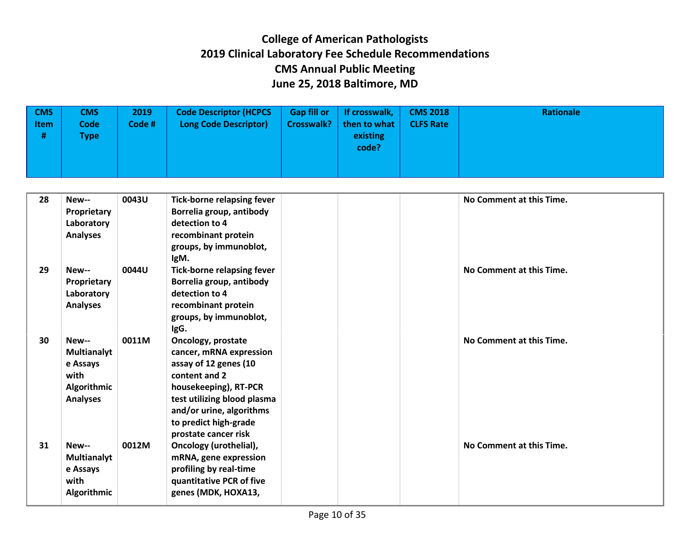| <b>CMS</b><br>$\vert$ Item<br># | CMS<br><b>Code</b><br>Type i | 2019<br>Code# | <b>Code Descriptor (HCPCS</b><br><b>Long Code Descriptor)</b> | <b>Gap fill or</b><br><b>Crosswalk?</b> | If crosswalk,<br>then to what<br>existing<br>code? | <b>CMS 2018</b><br><b>CLFS Rate</b> | Rationale |
|---------------------------------|------------------------------|---------------|---------------------------------------------------------------|-----------------------------------------|----------------------------------------------------|-------------------------------------|-----------|
|                                 |                              |               |                                                               |                                         |                                                    |                                     |           |

| 28 | New--<br>Proprietary<br>Laboratory<br><b>Analyses</b>                      | 0043U | <b>Tick-borne relapsing fever</b><br>Borrelia group, antibody<br>detection to 4<br>recombinant protein                                                                                                                       |  | No Comment at this Time. |
|----|----------------------------------------------------------------------------|-------|------------------------------------------------------------------------------------------------------------------------------------------------------------------------------------------------------------------------------|--|--------------------------|
|    |                                                                            |       | groups, by immunoblot,<br>IgM.                                                                                                                                                                                               |  |                          |
| 29 | New--<br>Proprietary<br>Laboratory<br><b>Analyses</b>                      | 0044U | <b>Tick-borne relapsing fever</b><br>Borrelia group, antibody<br>detection to 4<br>recombinant protein<br>groups, by immunoblot,<br>IgG.                                                                                     |  | No Comment at this Time. |
| 30 | New--<br>Multianalyt<br>e Assays<br>with<br>Algorithmic<br><b>Analyses</b> | 0011M | Oncology, prostate<br>cancer, mRNA expression<br>assay of 12 genes (10<br>content and 2<br>housekeeping), RT-PCR<br>test utilizing blood plasma<br>and/or urine, algorithms<br>to predict high-grade<br>prostate cancer risk |  | No Comment at this Time. |
| 31 | New--<br>Multianalyt<br>e Assays<br>with<br>Algorithmic                    | 0012M | Oncology (urothelial),<br>mRNA, gene expression<br>profiling by real-time<br>quantitative PCR of five<br>genes (MDK, HOXA13,                                                                                                 |  | No Comment at this Time. |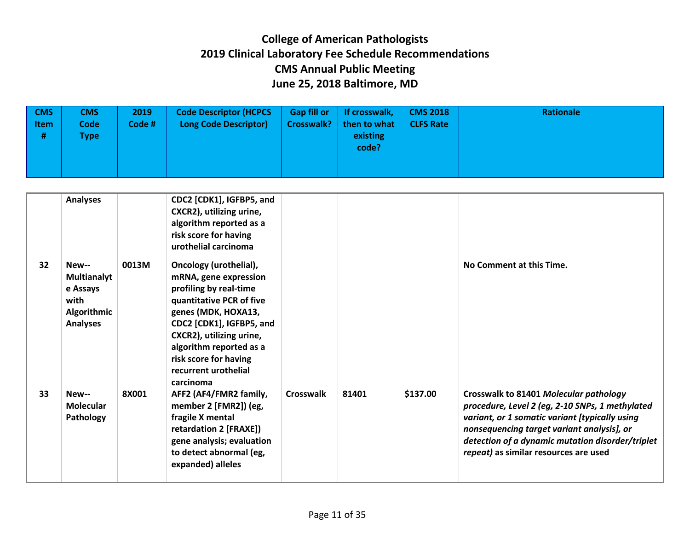| $\sqrt{CMS}$<br>$ $ Item<br># | CMS<br><b>Code</b><br>Type | 2019<br>Code# | <b>Code Descriptor (HCPCS</b><br><b>Long Code Descriptor)</b> | <b>Gap fill or</b><br><b>Crosswalk?</b> | If crosswalk,<br>then to what<br>existing<br>code? | <b>CMS 2018</b><br><b>CLFS Rate</b> | Rationale |
|-------------------------------|----------------------------|---------------|---------------------------------------------------------------|-----------------------------------------|----------------------------------------------------|-------------------------------------|-----------|
|-------------------------------|----------------------------|---------------|---------------------------------------------------------------|-----------------------------------------|----------------------------------------------------|-------------------------------------|-----------|

|    | <b>Analyses</b>                                                            |       | CDC2 [CDK1], IGFBP5, and<br>CXCR2), utilizing urine,<br>algorithm reported as a<br>risk score for having<br>urothelial carcinoma                                                                                                                                              |                  |       |          |                                                                                                                                                                                                                                                                                        |
|----|----------------------------------------------------------------------------|-------|-------------------------------------------------------------------------------------------------------------------------------------------------------------------------------------------------------------------------------------------------------------------------------|------------------|-------|----------|----------------------------------------------------------------------------------------------------------------------------------------------------------------------------------------------------------------------------------------------------------------------------------------|
| 32 | New--<br>Multianalyt<br>e Assays<br>with<br>Algorithmic<br><b>Analyses</b> | 0013M | Oncology (urothelial),<br>mRNA, gene expression<br>profiling by real-time<br>quantitative PCR of five<br>genes (MDK, HOXA13,<br>CDC2 [CDK1], IGFBP5, and<br>CXCR2), utilizing urine,<br>algorithm reported as a<br>risk score for having<br>recurrent urothelial<br>carcinoma |                  |       |          | No Comment at this Time.                                                                                                                                                                                                                                                               |
| 33 | New--<br><b>Molecular</b><br>Pathology                                     | 8X001 | AFF2 (AF4/FMR2 family,<br>member 2 [FMR2]) (eg,<br>fragile X mental<br>retardation 2 [FRAXE])<br>gene analysis; evaluation<br>to detect abnormal (eg,<br>expanded) alleles                                                                                                    | <b>Crosswalk</b> | 81401 | \$137.00 | Crosswalk to 81401 Molecular pathology<br>procedure, Level 2 (eg, 2-10 SNPs, 1 methylated<br>variant, or 1 somatic variant [typically using<br>nonsequencing target variant analysis], or<br>detection of a dynamic mutation disorder/triplet<br>repeat) as similar resources are used |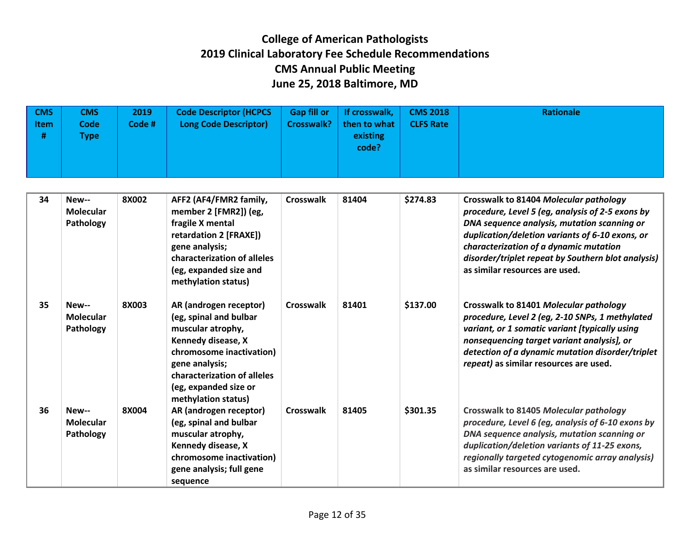| $\sqrt{CMS}$<br>Item<br># | CMS<br><b>Code</b><br>Type i | 2019<br>Code # | <b>Code Descriptor (HCPCS</b><br><b>Long Code Descriptor)</b> | <b>Gap fill or</b><br><b>Crosswalk?</b> | If crosswalk,<br>then to what<br>existing<br>code? | <b>CMS 2018</b><br><b>CLFS Rate</b> | Rationale |
|---------------------------|------------------------------|----------------|---------------------------------------------------------------|-----------------------------------------|----------------------------------------------------|-------------------------------------|-----------|
|                           |                              |                |                                                               |                                         |                                                    |                                     |           |

| 34 | New--<br><b>Molecular</b><br>Pathology | 8X002 | AFF2 (AF4/FMR2 family,<br>member 2 [FMR2]) (eg,<br>fragile X mental<br>retardation 2 [FRAXE])<br>gene analysis;<br>characterization of alleles<br>(eg, expanded size and<br>methylation status)                          | Crosswalk        | 81404 | \$274.83 | Crosswalk to 81404 Molecular pathology<br>procedure, Level 5 (eg, analysis of 2-5 exons by<br>DNA sequence analysis, mutation scanning or<br>duplication/deletion variants of 6-10 exons, or<br>characterization of a dynamic mutation<br>disorder/triplet repeat by Southern blot analysis)<br>as similar resources are used. |
|----|----------------------------------------|-------|--------------------------------------------------------------------------------------------------------------------------------------------------------------------------------------------------------------------------|------------------|-------|----------|--------------------------------------------------------------------------------------------------------------------------------------------------------------------------------------------------------------------------------------------------------------------------------------------------------------------------------|
| 35 | New--<br><b>Molecular</b><br>Pathology | 8X003 | AR (androgen receptor)<br>(eg, spinal and bulbar<br>muscular atrophy,<br>Kennedy disease, X<br>chromosome inactivation)<br>gene analysis;<br>characterization of alleles<br>(eg, expanded size or<br>methylation status) | Crosswalk        | 81401 | \$137.00 | Crosswalk to 81401 Molecular pathology<br>procedure, Level 2 (eg, 2-10 SNPs, 1 methylated<br>variant, or 1 somatic variant [typically using<br>nonsequencing target variant analysis], or<br>detection of a dynamic mutation disorder/triplet<br>repeat) as similar resources are used.                                        |
| 36 | New--<br><b>Molecular</b><br>Pathology | 8X004 | AR (androgen receptor)<br>(eg, spinal and bulbar<br>muscular atrophy,<br>Kennedy disease, X<br>chromosome inactivation)<br>gene analysis; full gene<br>sequence                                                          | <b>Crosswalk</b> | 81405 | \$301.35 | Crosswalk to 81405 Molecular pathology<br>procedure, Level 6 (eg, analysis of 6-10 exons by<br>DNA sequence analysis, mutation scanning or<br>duplication/deletion variants of 11-25 exons,<br>regionally targeted cytogenomic array analysis)<br>as similar resources are used.                                               |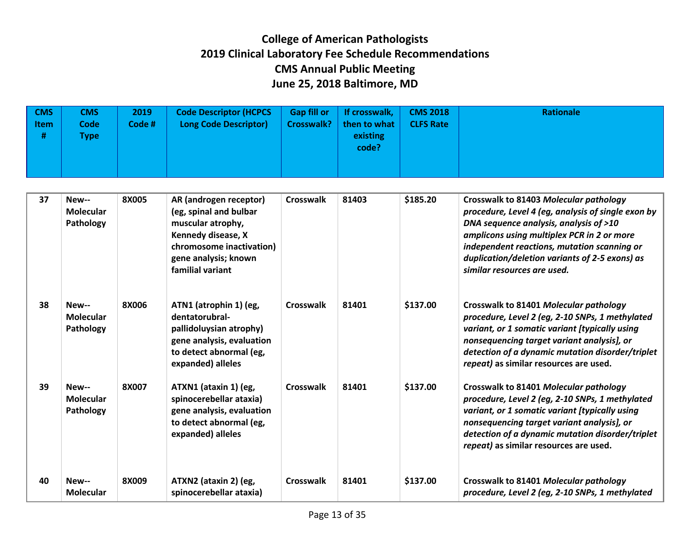| $\sqrt{CMS}$<br>Item<br># | <b>CMS</b><br><b>Code</b><br>Type i | 2019<br>Code# | <b>Code Descriptor (HCPCS</b><br><b>Long Code Descriptor)</b> | <b>Gap fill or</b> | If crosswalk,<br>Crosswalk?   then to what $\parallel$<br>existing<br>code? | <b>CMS 2018</b><br><b>CLFS Rate</b> | Rationale |
|---------------------------|-------------------------------------|---------------|---------------------------------------------------------------|--------------------|-----------------------------------------------------------------------------|-------------------------------------|-----------|
|                           |                                     |               |                                                               |                    |                                                                             |                                     |           |

| 37 | New--<br><b>Molecular</b><br>Pathology | 8X005 | AR (androgen receptor)<br>(eg, spinal and bulbar<br>muscular atrophy,<br>Kennedy disease, X<br>chromosome inactivation)<br>gene analysis; known<br>familial variant | Crosswalk | 81403 | \$185.20 | Crosswalk to 81403 Molecular pathology<br>procedure, Level 4 (eg, analysis of single exon by<br>DNA sequence analysis, analysis of >10<br>amplicons using multiplex PCR in 2 or more<br>independent reactions, mutation scanning or<br>duplication/deletion variants of 2-5 exons) as<br>similar resources are used. |
|----|----------------------------------------|-------|---------------------------------------------------------------------------------------------------------------------------------------------------------------------|-----------|-------|----------|----------------------------------------------------------------------------------------------------------------------------------------------------------------------------------------------------------------------------------------------------------------------------------------------------------------------|
| 38 | New--<br>Molecular<br>Pathology        | 8X006 | ATN1 (atrophin 1) (eg,<br>dentatorubral-<br>pallidoluysian atrophy)<br>gene analysis, evaluation<br>to detect abnormal (eg,<br>expanded) alleles                    | Crosswalk | 81401 | \$137.00 | Crosswalk to 81401 Molecular pathology<br>procedure, Level 2 (eg, 2-10 SNPs, 1 methylated<br>variant, or 1 somatic variant [typically using<br>nonsequencing target variant analysis], or<br>detection of a dynamic mutation disorder/triplet<br>repeat) as similar resources are used.                              |
| 39 | New--<br><b>Molecular</b><br>Pathology | 8X007 | ATXN1 (ataxin 1) (eg,<br>spinocerebellar ataxia)<br>gene analysis, evaluation<br>to detect abnormal (eg,<br>expanded) alleles                                       | Crosswalk | 81401 | \$137.00 | Crosswalk to 81401 Molecular pathology<br>procedure, Level 2 (eg, 2-10 SNPs, 1 methylated<br>variant, or 1 somatic variant [typically using<br>nonsequencing target variant analysis], or<br>detection of a dynamic mutation disorder/triplet<br>repeat) as similar resources are used.                              |
| 40 | New--<br><b>Molecular</b>              | 8X009 | ATXN2 (ataxin 2) (eg,<br>spinocerebellar ataxia)                                                                                                                    | Crosswalk | 81401 | \$137.00 | Crosswalk to 81401 Molecular pathology<br>procedure, Level 2 (eg, 2-10 SNPs, 1 methylated                                                                                                                                                                                                                            |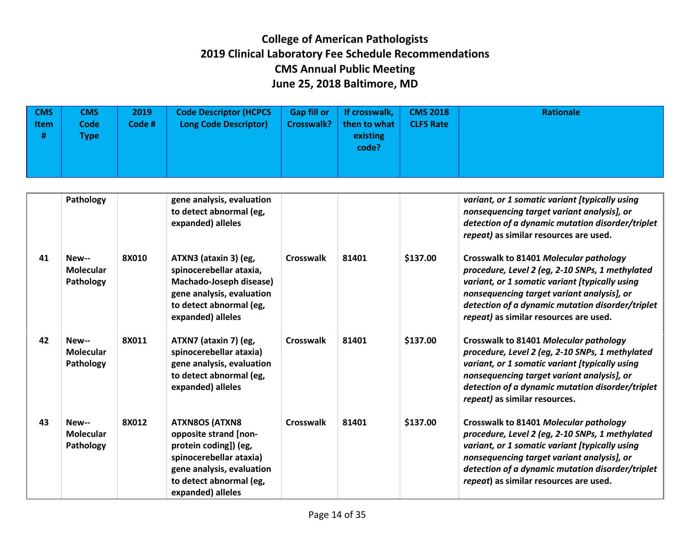| <b>CMS</b><br>Item<br># | CMS<br><b>Code</b><br><b>Type</b> | 2019<br>Code # | <b>Code Descriptor (HCPCS</b><br><b>Long Code Descriptor)</b> | <b>Gap fill or</b> | If crosswalk,<br>Crosswalk?   then to what $ $<br>existing<br>code? | <b>CMS 2018</b><br><b>CLFS Rate</b> | <b>Rationale</b> |
|-------------------------|-----------------------------------|----------------|---------------------------------------------------------------|--------------------|---------------------------------------------------------------------|-------------------------------------|------------------|
|                         |                                   |                |                                                               |                    |                                                                     |                                     |                  |

|    | Pathology                              |              | gene analysis, evaluation<br>to detect abnormal (eg,<br>expanded) alleles                                                                                                       |           |       |          | variant, or 1 somatic variant [typically using<br>nonsequencing target variant analysis], or<br>detection of a dynamic mutation disorder/triplet<br>repeat) as similar resources are used.                                                                                              |
|----|----------------------------------------|--------------|---------------------------------------------------------------------------------------------------------------------------------------------------------------------------------|-----------|-------|----------|-----------------------------------------------------------------------------------------------------------------------------------------------------------------------------------------------------------------------------------------------------------------------------------------|
| 41 | New--<br><b>Molecular</b><br>Pathology | <b>8X010</b> | ATXN3 (ataxin 3) (eg,<br>spinocerebellar ataxia,<br>Machado-Joseph disease)<br>gene analysis, evaluation<br>to detect abnormal (eg,<br>expanded) alleles                        | Crosswalk | 81401 | \$137.00 | Crosswalk to 81401 Molecular pathology<br>procedure, Level 2 (eg, 2-10 SNPs, 1 methylated<br>variant, or 1 somatic variant [typically using<br>nonsequencing target variant analysis], or<br>detection of a dynamic mutation disorder/triplet<br>repeat) as similar resources are used. |
| 42 | New--<br>Molecular<br>Pathology        | 8X011        | ATXN7 (ataxin 7) (eg,<br>spinocerebellar ataxia)<br>gene analysis, evaluation<br>to detect abnormal (eg,<br>expanded) alleles                                                   | Crosswalk | 81401 | \$137.00 | Crosswalk to 81401 Molecular pathology<br>procedure, Level 2 (eg, 2-10 SNPs, 1 methylated<br>variant, or 1 somatic variant [typically using<br>nonsequencing target variant analysis], or<br>detection of a dynamic mutation disorder/triplet<br>repeat) as similar resources.          |
| 43 | New--<br>Molecular<br>Pathology        | 8X012        | <b>ATXN8OS (ATXN8</b><br>opposite strand [non-<br>protein coding]) (eg,<br>spinocerebellar ataxia)<br>gene analysis, evaluation<br>to detect abnormal (eg,<br>expanded) alleles | Crosswalk | 81401 | \$137.00 | Crosswalk to 81401 Molecular pathology<br>procedure, Level 2 (eg, 2-10 SNPs, 1 methylated<br>variant, or 1 somatic variant [typically using<br>nonsequencing target variant analysis], or<br>detection of a dynamic mutation disorder/triplet<br>repeat) as similar resources are used. |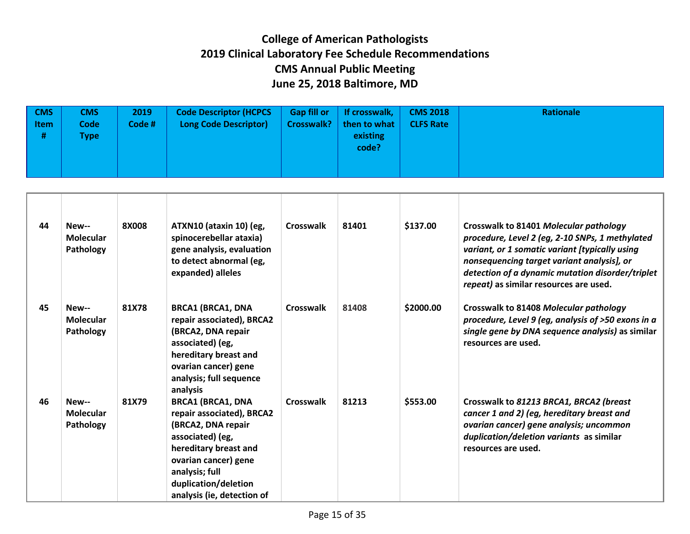| $\sqrt{CMS}$<br><b>Item</b><br># | <b>CMS</b><br><b>Code</b><br>Гуре | 2019<br>Code # | <b>Code Descriptor (HCPCS</b><br><b>Long Code Descriptor)</b> | <b>Gap fill or</b><br><b>Crosswalk?</b> | If crosswalk,<br>then to what<br>existing<br>code? | <b>CMS 2018</b><br><b>CLFS Rate</b> | <b>Rationale</b> |
|----------------------------------|-----------------------------------|----------------|---------------------------------------------------------------|-----------------------------------------|----------------------------------------------------|-------------------------------------|------------------|
|----------------------------------|-----------------------------------|----------------|---------------------------------------------------------------|-----------------------------------------|----------------------------------------------------|-------------------------------------|------------------|

| 44 | New--<br>Molecular<br>Pathology | 8X008 | ATXN10 (ataxin 10) (eg,<br>spinocerebellar ataxia)<br>gene analysis, evaluation<br>to detect abnormal (eg,<br>expanded) alleles                                                                                          | Crosswalk | 81401 | \$137.00  | Crosswalk to 81401 Molecular pathology<br>procedure, Level 2 (eg, 2-10 SNPs, 1 methylated<br>variant, or 1 somatic variant [typically using<br>nonsequencing target variant analysis], or<br>detection of a dynamic mutation disorder/triplet<br>repeat) as similar resources are used. |
|----|---------------------------------|-------|--------------------------------------------------------------------------------------------------------------------------------------------------------------------------------------------------------------------------|-----------|-------|-----------|-----------------------------------------------------------------------------------------------------------------------------------------------------------------------------------------------------------------------------------------------------------------------------------------|
| 45 | New--<br>Molecular<br>Pathology | 81X78 | <b>BRCA1 (BRCA1, DNA</b><br>repair associated), BRCA2<br>(BRCA2, DNA repair<br>associated) (eg,<br>hereditary breast and<br>ovarian cancer) gene<br>analysis; full sequence<br>analysis                                  | Crosswalk | 81408 | \$2000.00 | Crosswalk to 81408 Molecular pathology<br>procedure, Level 9 (eg, analysis of >50 exons in a<br>single gene by DNA sequence analysis) as similar<br>resources are used.                                                                                                                 |
| 46 | New--<br>Molecular<br>Pathology | 81X79 | <b>BRCA1 (BRCA1, DNA</b><br>repair associated), BRCA2<br>(BRCA2, DNA repair<br>associated) (eg,<br>hereditary breast and<br>ovarian cancer) gene<br>analysis; full<br>duplication/deletion<br>analysis (ie, detection of | Crosswalk | 81213 | \$553.00  | Crosswalk to 81213 BRCA1, BRCA2 (breast<br>cancer 1 and 2) (eg, hereditary breast and<br>ovarian cancer) gene analysis; uncommon<br>duplication/deletion variants as similar<br>resources are used.                                                                                     |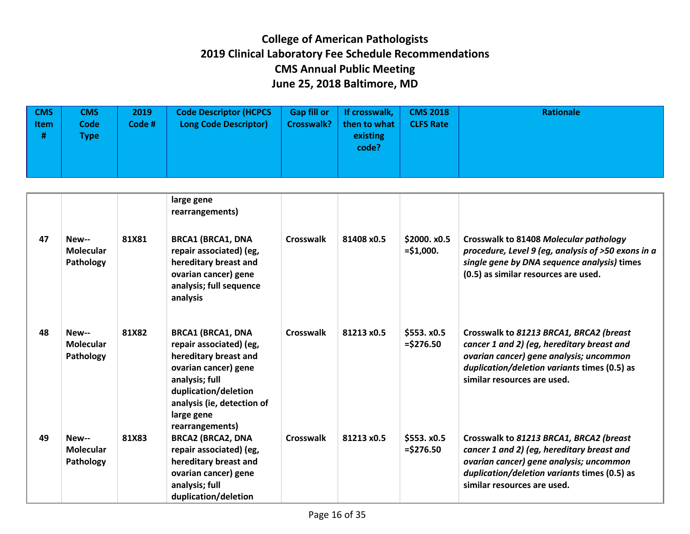| <b>CMS</b><br>ltem<br># | <b>CMS</b><br>Code '<br>Type | 2019<br>Code # | <b>Code Descriptor (HCPCS</b><br><b>Long Code Descriptor)</b> | <b>Gap fill or</b><br>Crosswalk? | If crosswalk,<br>  then to what $ $<br>existing<br>code? | <b>CMS 2018</b><br><b>CLFS Rate</b> | Rationale |
|-------------------------|------------------------------|----------------|---------------------------------------------------------------|----------------------------------|----------------------------------------------------------|-------------------------------------|-----------|
|                         |                              |                |                                                               |                                  |                                                          |                                     |           |

|    |                                        |       | large gene<br>rearrangements)                                                                                                                                                              |                  |            |                             |                                                                                                                                                                                                                 |
|----|----------------------------------------|-------|--------------------------------------------------------------------------------------------------------------------------------------------------------------------------------------------|------------------|------------|-----------------------------|-----------------------------------------------------------------------------------------------------------------------------------------------------------------------------------------------------------------|
| 47 | New--<br>Molecular<br>Pathology        | 81X81 | <b>BRCA1 (BRCA1, DNA</b><br>repair associated) (eg,<br>hereditary breast and<br>ovarian cancer) gene<br>analysis; full sequence<br>analysis                                                | <b>Crosswalk</b> | 81408 x0.5 | \$2000. x0.5<br>$= $1,000.$ | Crosswalk to 81408 Molecular pathology<br>procedure, Level 9 (eg, analysis of >50 exons in a<br>single gene by DNA sequence analysis) times<br>(0.5) as similar resources are used.                             |
| 48 | New--<br>Molecular<br>Pathology        | 81X82 | <b>BRCA1 (BRCA1, DNA</b><br>repair associated) (eg,<br>hereditary breast and<br>ovarian cancer) gene<br>analysis; full<br>duplication/deletion<br>analysis (ie, detection of<br>large gene | Crosswalk        | 81213 x0.5 | \$553. x0.5<br>$=$ \$276.50 | Crosswalk to 81213 BRCA1, BRCA2 (breast<br>cancer 1 and 2) (eg, hereditary breast and<br>ovarian cancer) gene analysis; uncommon<br>duplication/deletion variants times (0.5) as<br>similar resources are used. |
| 49 | New--<br><b>Molecular</b><br>Pathology | 81X83 | rearrangements)<br><b>BRCA2 (BRCA2, DNA</b><br>repair associated) (eg,<br>hereditary breast and<br>ovarian cancer) gene<br>analysis; full<br>duplication/deletion                          | Crosswalk        | 81213 x0.5 | \$553. x0.5<br>$=$ \$276.50 | Crosswalk to 81213 BRCA1, BRCA2 (breast<br>cancer 1 and 2) (eg, hereditary breast and<br>ovarian cancer) gene analysis; uncommon<br>duplication/deletion variants times (0.5) as<br>similar resources are used. |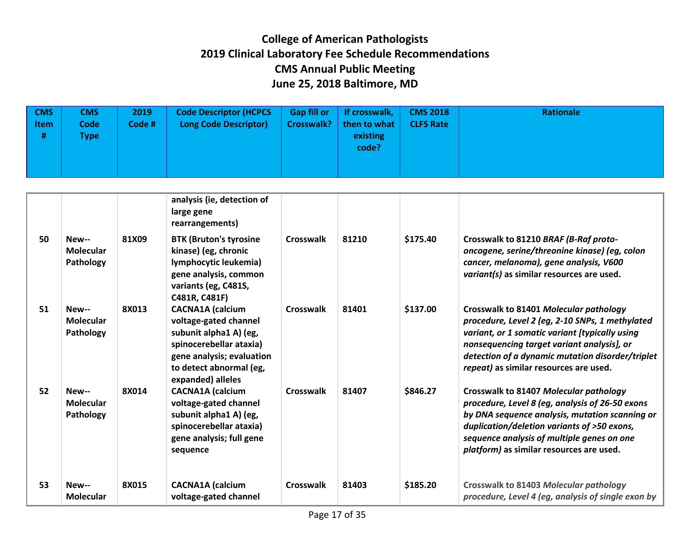| <b>CMS</b><br>Item<br># | CMS<br><b>Code</b><br><b>Type</b> | 2019<br>Code # | <b>Code Descriptor (HCPCS</b><br><b>Long Code Descriptor)</b> | <b>Gap fill or</b> | If crosswalk, $\vert$<br>Crosswalk?   then to what $\vert$<br>existing<br>code? | <b>CMS 2018</b><br><b>CLFS Rate</b> | Rationale |
|-------------------------|-----------------------------------|----------------|---------------------------------------------------------------|--------------------|---------------------------------------------------------------------------------|-------------------------------------|-----------|
|-------------------------|-----------------------------------|----------------|---------------------------------------------------------------|--------------------|---------------------------------------------------------------------------------|-------------------------------------|-----------|

|    |                                        |       | analysis (ie, detection of<br>large gene<br>rearrangements)                                                                                                                        |                  |       |          |                                                                                                                                                                                                                                                                                         |
|----|----------------------------------------|-------|------------------------------------------------------------------------------------------------------------------------------------------------------------------------------------|------------------|-------|----------|-----------------------------------------------------------------------------------------------------------------------------------------------------------------------------------------------------------------------------------------------------------------------------------------|
| 50 | New--<br>Molecular<br>Pathology        | 81X09 | <b>BTK (Bruton's tyrosine</b><br>kinase) (eg, chronic<br>lymphocytic leukemia)<br>gene analysis, common<br>variants (eg, C481S,<br>C481R, C481F)                                   | <b>Crosswalk</b> | 81210 | \$175.40 | Crosswalk to 81210 BRAF (B-Raf proto-<br>oncogene, serine/threonine kinase) (eg, colon<br>cancer, melanoma), gene analysis, V600<br>variant(s) as similar resources are used.                                                                                                           |
| 51 | New--<br><b>Molecular</b><br>Pathology | 8X013 | <b>CACNA1A</b> (calcium<br>voltage-gated channel<br>subunit alpha1 A) (eg,<br>spinocerebellar ataxia)<br>gene analysis; evaluation<br>to detect abnormal (eg,<br>expanded) alleles | Crosswalk        | 81401 | \$137.00 | Crosswalk to 81401 Molecular pathology<br>procedure, Level 2 (eg, 2-10 SNPs, 1 methylated<br>variant, or 1 somatic variant [typically using<br>nonsequencing target variant analysis], or<br>detection of a dynamic mutation disorder/triplet<br>repeat) as similar resources are used. |
| 52 | New--<br><b>Molecular</b><br>Pathology | 8X014 | <b>CACNA1A</b> (calcium<br>voltage-gated channel<br>subunit alpha1 A) (eg,<br>spinocerebellar ataxia)<br>gene analysis; full gene<br>sequence                                      | Crosswalk        | 81407 | \$846.27 | Crosswalk to 81407 Molecular pathology<br>procedure, Level 8 (eg, analysis of 26-50 exons<br>by DNA sequence analysis, mutation scanning or<br>duplication/deletion variants of >50 exons,<br>sequence analysis of multiple genes on one<br>platform) as similar resources are used.    |
| 53 | New--<br><b>Molecular</b>              | 8X015 | <b>CACNA1A</b> (calcium<br>voltage-gated channel                                                                                                                                   | Crosswalk        | 81403 | \$185.20 | Crosswalk to 81403 Molecular pathology<br>procedure, Level 4 (eg, analysis of single exon by                                                                                                                                                                                            |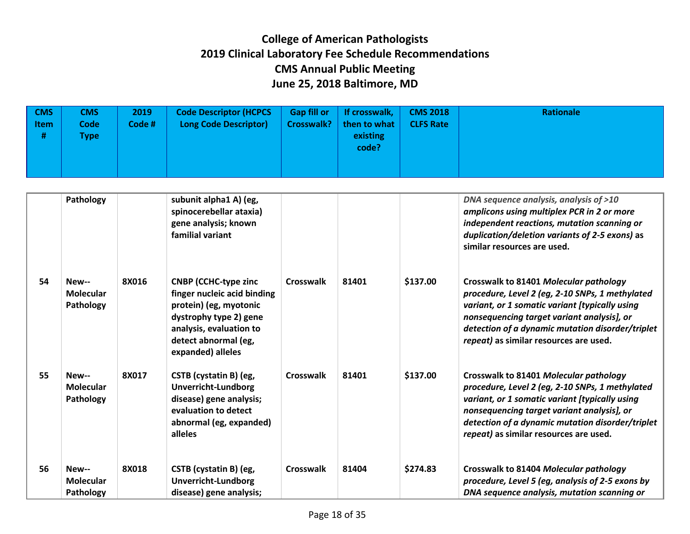| $\sqrt{CMS}$<br><b>Item</b><br># | CMS<br><b>Code</b><br>[ype] | 2019<br>Code# | <b>Code Descriptor (HCPCS</b><br>Long Code Descriptor) | <b>Gap fill or</b> | If crosswalk,<br>Crosswalk?   then to what $ $<br>existing<br>code? | <b>CMS 2018</b><br><b>CLFS Rate</b> | Rationale |
|----------------------------------|-----------------------------|---------------|--------------------------------------------------------|--------------------|---------------------------------------------------------------------|-------------------------------------|-----------|
|                                  |                             |               |                                                        |                    |                                                                     |                                     |           |

|    | Pathology                              |       | subunit alpha1 A) (eg,<br>spinocerebellar ataxia)<br>gene analysis; known<br>familial variant                                                                                          |                  |       |          | DNA sequence analysis, analysis of >10<br>amplicons using multiplex PCR in 2 or more<br>independent reactions, mutation scanning or<br>duplication/deletion variants of 2-5 exons) as<br>similar resources are used.                                                                    |
|----|----------------------------------------|-------|----------------------------------------------------------------------------------------------------------------------------------------------------------------------------------------|------------------|-------|----------|-----------------------------------------------------------------------------------------------------------------------------------------------------------------------------------------------------------------------------------------------------------------------------------------|
| 54 | New--<br><b>Molecular</b><br>Pathology | 8X016 | <b>CNBP (CCHC-type zinc</b><br>finger nucleic acid binding<br>protein) (eg, myotonic<br>dystrophy type 2) gene<br>analysis, evaluation to<br>detect abnormal (eg,<br>expanded) alleles | <b>Crosswalk</b> | 81401 | \$137.00 | Crosswalk to 81401 Molecular pathology<br>procedure, Level 2 (eg, 2-10 SNPs, 1 methylated<br>variant, or 1 somatic variant [typically using<br>nonsequencing target variant analysis], or<br>detection of a dynamic mutation disorder/triplet<br>repeat) as similar resources are used. |
| 55 | New--<br><b>Molecular</b><br>Pathology | 8X017 | CSTB (cystatin B) (eg,<br><b>Unverricht-Lundborg</b><br>disease) gene analysis;<br>evaluation to detect<br>abnormal (eg, expanded)<br>alleles                                          | Crosswalk        | 81401 | \$137.00 | Crosswalk to 81401 Molecular pathology<br>procedure, Level 2 (eg, 2-10 SNPs, 1 methylated<br>variant, or 1 somatic variant [typically using<br>nonsequencing target variant analysis], or<br>detection of a dynamic mutation disorder/triplet<br>repeat) as similar resources are used. |
| 56 | New--<br><b>Molecular</b><br>Pathology | 8X018 | CSTB (cystatin B) (eg,<br><b>Unverricht-Lundborg</b><br>disease) gene analysis;                                                                                                        | <b>Crosswalk</b> | 81404 | \$274.83 | Crosswalk to 81404 Molecular pathology<br>procedure, Level 5 (eg, analysis of 2-5 exons by<br>DNA sequence analysis, mutation scanning or                                                                                                                                               |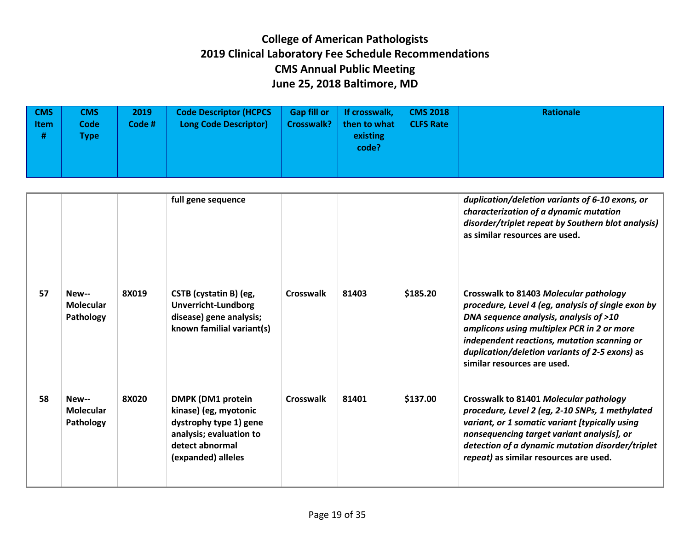| <b>CMS</b><br><b>Item</b><br># | <b>CMS</b><br>Code <sup>'</sup><br><b>Type</b> | 2019<br>Code # | <b>Code Descriptor (HCPCS)</b><br><b>Long Code Descriptor)</b> | <b>Gap fill or</b><br><b>Crosswalk?</b> | If crosswalk,<br>then to what<br>existing<br>code? | <b>CMS 2018</b><br><b>CLFS Rate</b> | Rationale |
|--------------------------------|------------------------------------------------|----------------|----------------------------------------------------------------|-----------------------------------------|----------------------------------------------------|-------------------------------------|-----------|
|--------------------------------|------------------------------------------------|----------------|----------------------------------------------------------------|-----------------------------------------|----------------------------------------------------|-------------------------------------|-----------|

|    |                                        |       | full gene sequence                                                                                                                              |                  |       |          | duplication/deletion variants of 6-10 exons, or<br>characterization of a dynamic mutation<br>disorder/triplet repeat by Southern blot analysis)<br>as similar resources are used.                                                                                                                                    |
|----|----------------------------------------|-------|-------------------------------------------------------------------------------------------------------------------------------------------------|------------------|-------|----------|----------------------------------------------------------------------------------------------------------------------------------------------------------------------------------------------------------------------------------------------------------------------------------------------------------------------|
| 57 | New--<br><b>Molecular</b><br>Pathology | 8X019 | CSTB (cystatin B) (eg,<br><b>Unverricht-Lundborg</b><br>disease) gene analysis;<br>known familial variant(s)                                    | <b>Crosswalk</b> | 81403 | \$185.20 | Crosswalk to 81403 Molecular pathology<br>procedure, Level 4 (eg, analysis of single exon by<br>DNA sequence analysis, analysis of >10<br>amplicons using multiplex PCR in 2 or more<br>independent reactions, mutation scanning or<br>duplication/deletion variants of 2-5 exons) as<br>similar resources are used. |
| 58 | New--<br><b>Molecular</b><br>Pathology | 8X020 | <b>DMPK (DM1 protein</b><br>kinase) (eg, myotonic<br>dystrophy type 1) gene<br>analysis; evaluation to<br>detect abnormal<br>(expanded) alleles | Crosswalk        | 81401 | \$137.00 | Crosswalk to 81401 Molecular pathology<br>procedure, Level 2 (eg, 2-10 SNPs, 1 methylated<br>variant, or 1 somatic variant [typically using<br>nonsequencing target variant analysis], or<br>detection of a dynamic mutation disorder/triplet<br>repeat) as similar resources are used.                              |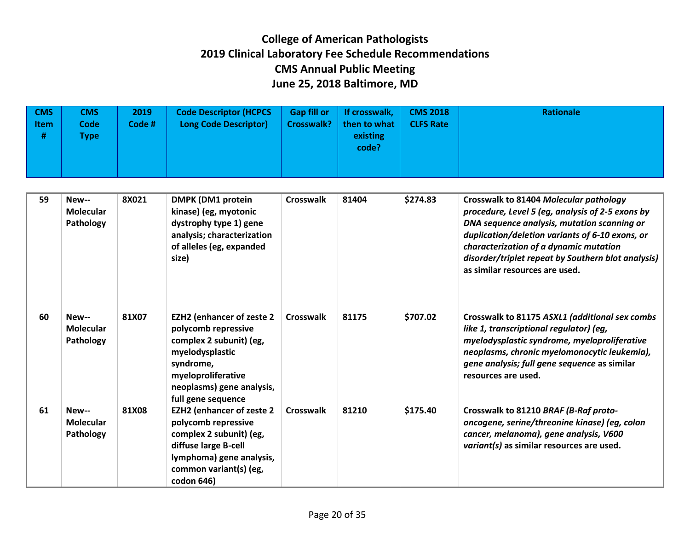| $\sqrt{CMS}$<br><b>Item</b><br># | <b>CMS</b><br><b>Code</b><br><b>Type</b> | 2019<br>Code # | <b>Code Descriptor (HCPCS</b><br><b>Long Code Descriptor)</b> | <b>Gap fill or</b><br><b>Crosswalk?</b> | If crosswalk,<br>then to what<br>existing<br>code? | <b>CMS 2018</b><br><b>CLFS Rate</b> | Rationale |
|----------------------------------|------------------------------------------|----------------|---------------------------------------------------------------|-----------------------------------------|----------------------------------------------------|-------------------------------------|-----------|
|                                  |                                          |                |                                                               |                                         |                                                    |                                     |           |

| 59 | New--<br><b>Molecular</b><br>Pathology | 8X021 | <b>DMPK (DM1 protein</b><br>kinase) (eg, myotonic<br>dystrophy type 1) gene<br>analysis; characterization<br>of alleles (eg, expanded<br>size)                                              | <b>Crosswalk</b> | 81404 | \$274.83 | Crosswalk to 81404 Molecular pathology<br>procedure, Level 5 (eg, analysis of 2-5 exons by<br>DNA sequence analysis, mutation scanning or<br>duplication/deletion variants of 6-10 exons, or<br>characterization of a dynamic mutation<br>disorder/triplet repeat by Southern blot analysis)<br>as similar resources are used. |
|----|----------------------------------------|-------|---------------------------------------------------------------------------------------------------------------------------------------------------------------------------------------------|------------------|-------|----------|--------------------------------------------------------------------------------------------------------------------------------------------------------------------------------------------------------------------------------------------------------------------------------------------------------------------------------|
| 60 | New--<br><b>Molecular</b><br>Pathology | 81X07 | <b>EZH2 (enhancer of zeste 2</b><br>polycomb repressive<br>complex 2 subunit) (eg,<br>myelodysplastic<br>syndrome,<br>myeloproliferative<br>neoplasms) gene analysis,<br>full gene sequence | Crosswalk        | 81175 | \$707.02 | Crosswalk to 81175 ASXL1 (additional sex combs<br>like 1, transcriptional regulator) (eg,<br>myelodysplastic syndrome, myeloproliferative<br>neoplasms, chronic myelomonocytic leukemia),<br>gene analysis; full gene sequence as similar<br>resources are used.                                                               |
| 61 | New--<br><b>Molecular</b><br>Pathology | 81X08 | <b>EZH2 (enhancer of zeste 2</b><br>polycomb repressive<br>complex 2 subunit) (eg,<br>diffuse large B-cell<br>lymphoma) gene analysis,<br>common variant(s) (eg,<br>codon 646)              | Crosswalk        | 81210 | \$175.40 | Crosswalk to 81210 BRAF (B-Raf proto-<br>oncogene, serine/threonine kinase) (eg, colon<br>cancer, melanoma), gene analysis, V600<br>variant(s) as similar resources are used.                                                                                                                                                  |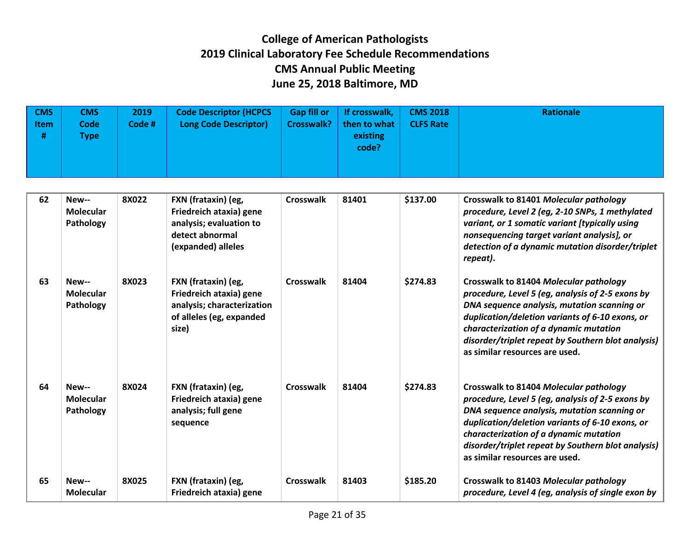| <b>CMS</b><br>l Item<br># | <b>CMS</b><br><b>Code</b><br>Type l | 2019<br>Code # | <b>Code Descriptor (HCPCS</b><br><b>Long Code Descriptor)</b> | <b>Gap fill or</b><br>Crosswalk? | If crosswalk,<br>then to what<br>existing<br>code? | <b>CMS 2018</b><br><b>CLFS Rate</b> | Rationale |
|---------------------------|-------------------------------------|----------------|---------------------------------------------------------------|----------------------------------|----------------------------------------------------|-------------------------------------|-----------|
|---------------------------|-------------------------------------|----------------|---------------------------------------------------------------|----------------------------------|----------------------------------------------------|-------------------------------------|-----------|

| 62 | New--<br>Molecular<br>Pathology        | 8X022 | FXN (frataxin) (eg,<br>Friedreich ataxia) gene<br>analysis; evaluation to<br>detect abnormal<br>(expanded) alleles | <b>Crosswalk</b> | 81401 | \$137.00 | Crosswalk to 81401 Molecular pathology<br>procedure, Level 2 (eg, 2-10 SNPs, 1 methylated<br>variant, or 1 somatic variant [typically using<br>nonsequencing target variant analysis], or<br>detection of a dynamic mutation disorder/triplet<br>repeat).                                                                      |
|----|----------------------------------------|-------|--------------------------------------------------------------------------------------------------------------------|------------------|-------|----------|--------------------------------------------------------------------------------------------------------------------------------------------------------------------------------------------------------------------------------------------------------------------------------------------------------------------------------|
| 63 | New--<br>Molecular<br>Pathology        | 8X023 | FXN (frataxin) (eg,<br>Friedreich ataxia) gene<br>analysis; characterization<br>of alleles (eg, expanded<br>size)  | <b>Crosswalk</b> | 81404 | \$274.83 | Crosswalk to 81404 Molecular pathology<br>procedure, Level 5 (eg, analysis of 2-5 exons by<br>DNA sequence analysis, mutation scanning or<br>duplication/deletion variants of 6-10 exons, or<br>characterization of a dynamic mutation<br>disorder/triplet repeat by Southern blot analysis)<br>as similar resources are used. |
| 64 | New--<br><b>Molecular</b><br>Pathology | 8X024 | FXN (frataxin) (eg,<br>Friedreich ataxia) gene<br>analysis; full gene<br>sequence                                  | <b>Crosswalk</b> | 81404 | \$274.83 | Crosswalk to 81404 Molecular pathology<br>procedure, Level 5 (eg, analysis of 2-5 exons by<br>DNA sequence analysis, mutation scanning or<br>duplication/deletion variants of 6-10 exons, or<br>characterization of a dynamic mutation<br>disorder/triplet repeat by Southern blot analysis)<br>as similar resources are used. |
| 65 | New--<br>Molecular                     | 8X025 | FXN (frataxin) (eg,<br>Friedreich ataxia) gene                                                                     | Crosswalk        | 81403 | \$185.20 | Crosswalk to 81403 Molecular pathology<br>procedure, Level 4 (eg, analysis of single exon by                                                                                                                                                                                                                                   |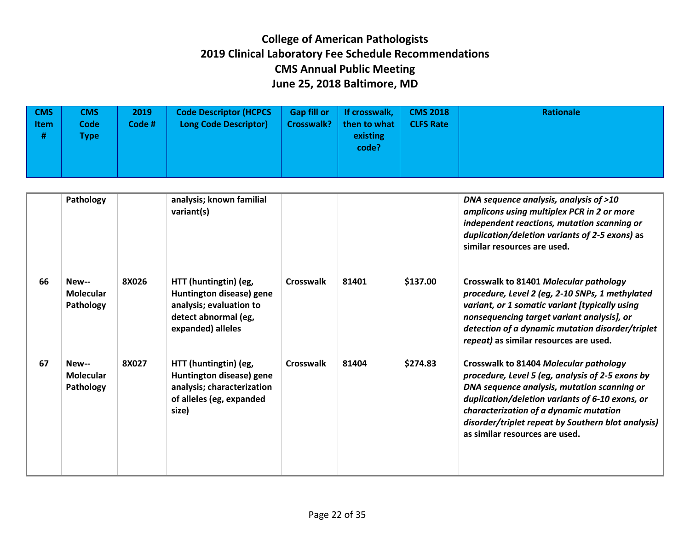| $\sqrt{CMS}$<br><b>Item</b><br># | CMS<br><b>Code</b><br>Type | 2019<br>Code # | <b>Code Descriptor (HCPCS</b><br>Long Code Descriptor) | <b>Gap fill or</b><br><b>Crosswalk?</b> | If crosswalk,<br>then to what<br>existing<br>code? | <b>CMS 2018</b><br><b>CLFS Rate</b> | Rationale |
|----------------------------------|----------------------------|----------------|--------------------------------------------------------|-----------------------------------------|----------------------------------------------------|-------------------------------------|-----------|
|----------------------------------|----------------------------|----------------|--------------------------------------------------------|-----------------------------------------|----------------------------------------------------|-------------------------------------|-----------|

|    | Pathology                              |       | analysis; known familial<br>variant(s)                                                                                    |                  |       |          | DNA sequence analysis, analysis of >10<br>amplicons using multiplex PCR in 2 or more<br>independent reactions, mutation scanning or<br>duplication/deletion variants of 2-5 exons) as<br>similar resources are used.                                                                                                           |
|----|----------------------------------------|-------|---------------------------------------------------------------------------------------------------------------------------|------------------|-------|----------|--------------------------------------------------------------------------------------------------------------------------------------------------------------------------------------------------------------------------------------------------------------------------------------------------------------------------------|
| 66 | New--<br><b>Molecular</b><br>Pathology | 8X026 | HTT (huntingtin) (eg,<br>Huntington disease) gene<br>analysis; evaluation to<br>detect abnormal (eg,<br>expanded) alleles | <b>Crosswalk</b> | 81401 | \$137.00 | Crosswalk to 81401 Molecular pathology<br>procedure, Level 2 (eg, 2-10 SNPs, 1 methylated<br>variant, or 1 somatic variant [typically using<br>nonsequencing target variant analysis], or<br>detection of a dynamic mutation disorder/triplet<br>repeat) as similar resources are used.                                        |
| 67 | New--<br><b>Molecular</b><br>Pathology | 8X027 | HTT (huntingtin) (eg,<br>Huntington disease) gene<br>analysis; characterization<br>of alleles (eg, expanded<br>size)      | <b>Crosswalk</b> | 81404 | \$274.83 | Crosswalk to 81404 Molecular pathology<br>procedure, Level 5 (eg, analysis of 2-5 exons by<br>DNA sequence analysis, mutation scanning or<br>duplication/deletion variants of 6-10 exons, or<br>characterization of a dynamic mutation<br>disorder/triplet repeat by Southern blot analysis)<br>as similar resources are used. |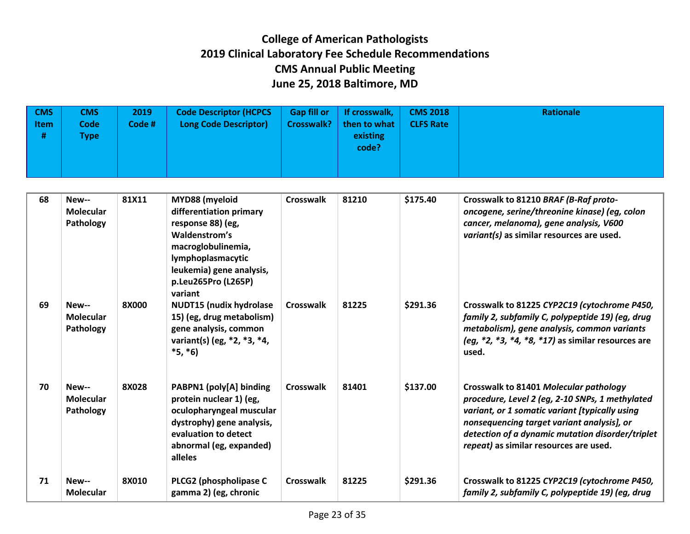| $\sqrt{CMS}$<br><b>Item</b><br># | <b>CMS</b><br><b>Code</b><br><b>Type</b> | 2019<br>Code # | <b>Code Descriptor (HCPCS</b><br><b>Long Code Descriptor)</b> | <b>Gap fill or</b><br><b>Crosswalk?</b> | If crosswalk,<br>then to what<br>existing<br>code? | <b>CMS 2018</b><br><b>CLFS Rate</b> | Rationale |
|----------------------------------|------------------------------------------|----------------|---------------------------------------------------------------|-----------------------------------------|----------------------------------------------------|-------------------------------------|-----------|
|                                  |                                          |                |                                                               |                                         |                                                    |                                     |           |

| 68 | New--<br><b>Molecular</b><br>Pathology | 81X11 | MYD88 (myeloid<br>differentiation primary<br>response 88) (eg,<br>Waldenstrom's<br>macroglobulinemia,<br>lymphoplasmacytic<br>leukemia) gene analysis,<br>p.Leu265Pro (L265P)<br>variant | <b>Crosswalk</b> | 81210 | \$175.40 | Crosswalk to 81210 BRAF (B-Raf proto-<br>oncogene, serine/threonine kinase) (eg, colon<br>cancer, melanoma), gene analysis, V600<br>variant(s) as similar resources are used.                                                                                                           |
|----|----------------------------------------|-------|------------------------------------------------------------------------------------------------------------------------------------------------------------------------------------------|------------------|-------|----------|-----------------------------------------------------------------------------------------------------------------------------------------------------------------------------------------------------------------------------------------------------------------------------------------|
| 69 | New--<br><b>Molecular</b><br>Pathology | 8X000 | <b>NUDT15 (nudix hydrolase</b><br>15) (eg, drug metabolism)<br>gene analysis, common<br>variant(s) (eg, *2, *3, *4,<br>$*5, *6)$                                                         | <b>Crosswalk</b> | 81225 | \$291.36 | Crosswalk to 81225 CYP2C19 (cytochrome P450,<br>family 2, subfamily C, polypeptide 19) (eg, drug<br>metabolism), gene analysis, common variants<br>(eg, $*2$ , $*3$ , $*4$ , $*8$ , $*17$ ) as similar resources are<br>used.                                                           |
| 70 | New--<br>Molecular<br>Pathology        | 8X028 | PABPN1 (poly[A] binding<br>protein nuclear 1) (eg,<br>oculopharyngeal muscular<br>dystrophy) gene analysis,<br>evaluation to detect<br>abnormal (eg, expanded)<br>alleles                | <b>Crosswalk</b> | 81401 | \$137.00 | Crosswalk to 81401 Molecular pathology<br>procedure, Level 2 (eg, 2-10 SNPs, 1 methylated<br>variant, or 1 somatic variant [typically using<br>nonsequencing target variant analysis], or<br>detection of a dynamic mutation disorder/triplet<br>repeat) as similar resources are used. |
| 71 | New--<br><b>Molecular</b>              | 8X010 | PLCG2 (phospholipase C<br>gamma 2) (eg, chronic                                                                                                                                          | Crosswalk        | 81225 | \$291.36 | Crosswalk to 81225 CYP2C19 (cytochrome P450,<br>family 2, subfamily C, polypeptide 19) (eg, drug                                                                                                                                                                                        |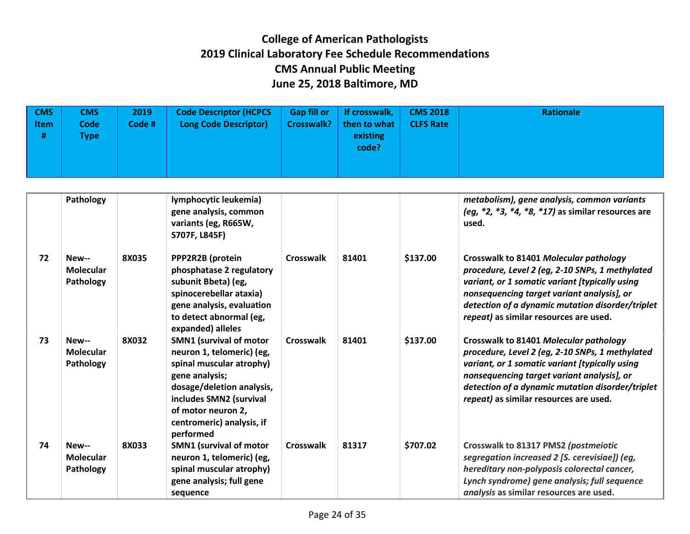| <b>CMS</b><br><b>Item</b><br># | CMS<br><b>Code</b><br><b>Type</b> | 2019<br>Code # | <b>Code Descriptor (HCPCS</b><br><b>Long Code Descriptor)</b> | Gap fill or   If crosswalk,<br>Crosswalk?   then to what $\vert$<br>existing<br>code? | <b>CMS 2018</b><br><b>CLFS Rate</b> | Rationale |
|--------------------------------|-----------------------------------|----------------|---------------------------------------------------------------|---------------------------------------------------------------------------------------|-------------------------------------|-----------|
|                                |                                   |                |                                                               |                                                                                       |                                     |           |

|    | Pathology                              |       | lymphocytic leukemia)<br>gene analysis, common<br>variants (eg, R665W,<br>S707F, L845F)                                                                                                                                           |                  |       |          | metabolism), gene analysis, common variants<br>(eg, *2, *3, *4, *8, *17) as similar resources are<br>used.                                                                                                                                                                              |
|----|----------------------------------------|-------|-----------------------------------------------------------------------------------------------------------------------------------------------------------------------------------------------------------------------------------|------------------|-------|----------|-----------------------------------------------------------------------------------------------------------------------------------------------------------------------------------------------------------------------------------------------------------------------------------------|
| 72 | New--<br><b>Molecular</b><br>Pathology | 8X035 | PPP2R2B (protein<br>phosphatase 2 regulatory<br>subunit Bbeta) (eg,<br>spinocerebellar ataxia)<br>gene analysis, evaluation<br>to detect abnormal (eg,<br>expanded) alleles                                                       | Crosswalk        | 81401 | \$137.00 | Crosswalk to 81401 Molecular pathology<br>procedure, Level 2 (eg, 2-10 SNPs, 1 methylated<br>variant, or 1 somatic variant [typically using<br>nonsequencing target variant analysis], or<br>detection of a dynamic mutation disorder/triplet<br>repeat) as similar resources are used. |
| 73 | New--<br><b>Molecular</b><br>Pathology | 8X032 | <b>SMN1 (survival of motor</b><br>neuron 1, telomeric) (eg,<br>spinal muscular atrophy)<br>gene analysis;<br>dosage/deletion analysis,<br>includes SMN2 (survival<br>of motor neuron 2,<br>centromeric) analysis, if<br>performed | <b>Crosswalk</b> | 81401 | \$137.00 | Crosswalk to 81401 Molecular pathology<br>procedure, Level 2 (eg, 2-10 SNPs, 1 methylated<br>variant, or 1 somatic variant [typically using<br>nonsequencing target variant analysis], or<br>detection of a dynamic mutation disorder/triplet<br>repeat) as similar resources are used. |
| 74 | New--<br><b>Molecular</b><br>Pathology | 8X033 | <b>SMN1 (survival of motor</b><br>neuron 1, telomeric) (eg,<br>spinal muscular atrophy)<br>gene analysis; full gene<br>sequence                                                                                                   | <b>Crosswalk</b> | 81317 | \$707.02 | Crosswalk to 81317 PMS2 (postmeiotic<br>segregation increased 2 [S. cerevisiae]) (eg,<br>hereditary non-polyposis colorectal cancer,<br>Lynch syndrome) gene analysis; full sequence<br>analysis as similar resources are used.                                                         |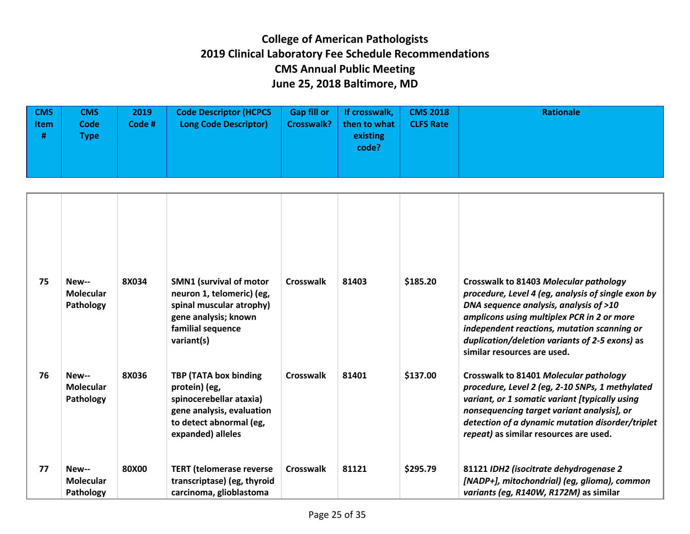| <b>CMS</b><br><b>Item</b><br># | <b>CMS</b><br><b>Code</b><br>[ype] | 2019<br>Code # $\Lambda$ | <b>Code Descriptor (HCPCS</b><br><b>Long Code Descriptor)</b> | <b>Gap fill or</b><br><b>Crosswalk?</b> | If crosswalk,<br>then to what<br>existing<br>code? | <b>CMS 2018</b><br><b>CLFS Rate</b> | <b>Rationale</b> |
|--------------------------------|------------------------------------|--------------------------|---------------------------------------------------------------|-----------------------------------------|----------------------------------------------------|-------------------------------------|------------------|
|                                |                                    |                          |                                                               |                                         |                                                    |                                     |                  |

| 75 | New--<br><b>Molecular</b><br>Pathology | 8X034 | <b>SMN1 (survival of motor</b><br>neuron 1, telomeric) (eg,<br>spinal muscular atrophy)<br>gene analysis; known<br>familial sequence<br>variant(s) | Crosswalk        | 81403 | \$185.20 | Crosswalk to 81403 Molecular pathology<br>procedure, Level 4 (eg, analysis of single exon by<br>DNA sequence analysis, analysis of >10<br>amplicons using multiplex PCR in 2 or more<br>independent reactions, mutation scanning or<br>duplication/deletion variants of 2-5 exons) as<br>similar resources are used. |
|----|----------------------------------------|-------|----------------------------------------------------------------------------------------------------------------------------------------------------|------------------|-------|----------|----------------------------------------------------------------------------------------------------------------------------------------------------------------------------------------------------------------------------------------------------------------------------------------------------------------------|
| 76 | New--<br><b>Molecular</b><br>Pathology | 8X036 | TBP (TATA box binding<br>protein) (eg,<br>spinocerebellar ataxia)<br>gene analysis, evaluation<br>to detect abnormal (eg,<br>expanded) alleles     | <b>Crosswalk</b> | 81401 | \$137.00 | Crosswalk to 81401 Molecular pathology<br>procedure, Level 2 (eg, 2-10 SNPs, 1 methylated<br>variant, or 1 somatic variant [typically using<br>nonsequencing target variant analysis], or<br>detection of a dynamic mutation disorder/triplet<br>repeat) as similar resources are used.                              |
| 77 | New--<br><b>Molecular</b><br>Pathology | 80X00 | <b>TERT</b> (telomerase reverse<br>transcriptase) (eg, thyroid<br>carcinoma, glioblastoma                                                          | Crosswalk        | 81121 | \$295.79 | 81121 IDH2 (isocitrate dehydrogenase 2<br>[NADP+], mitochondrial) (eg, glioma), common<br>variants (eg, R140W, R172M) as similar                                                                                                                                                                                     |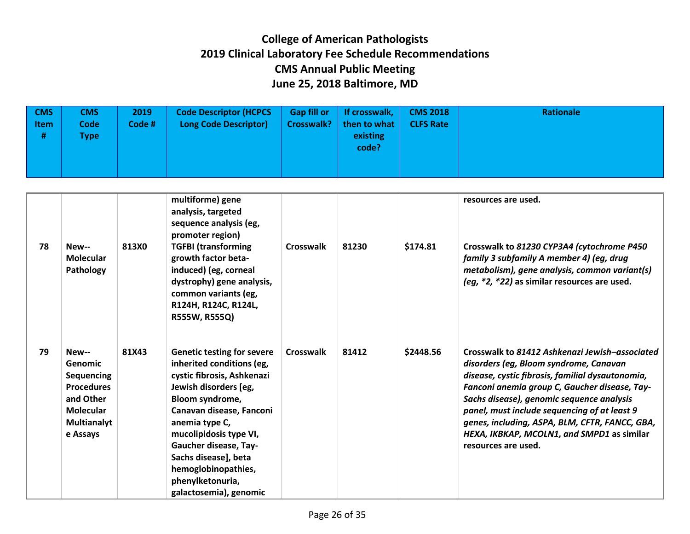| <b>CMS</b><br><b>Item</b><br># | <b>CMS</b><br><b>Code</b><br><b>Type</b> | 2019<br>Code # | <b>Code Descriptor (HCPCS</b><br><b>Long Code Descriptor)</b> | <b>Gap fill or</b><br><b>Crosswalk?</b> | If crosswalk,<br>then to what<br>existing<br>code? | <b>CMS 2018</b><br><b>CLFS Rate</b> | Rationale |
|--------------------------------|------------------------------------------|----------------|---------------------------------------------------------------|-----------------------------------------|----------------------------------------------------|-------------------------------------|-----------|
|                                |                                          |                |                                                               |                                         |                                                    |                                     |           |

| 78 | New--<br><b>Molecular</b><br>Pathology                                                                                               | 813X0 | multiforme) gene<br>analysis, targeted<br>sequence analysis (eg,<br>promoter region)<br><b>TGFBI (transforming</b><br>growth factor beta-<br>induced) (eg, corneal<br>dystrophy) gene analysis,<br>common variants (eg,<br>R124H, R124C, R124L,<br>R555W, R555Q)                                                                       | <b>Crosswalk</b> | 81230 | \$174.81  | resources are used.<br>Crosswalk to 81230 CYP3A4 (cytochrome P450)<br>family 3 subfamily A member 4) (eg, drug<br>metabolism), gene analysis, common variant(s)<br>(eg, *2, *22) as similar resources are used.                                                                                                                                                                                                   |
|----|--------------------------------------------------------------------------------------------------------------------------------------|-------|----------------------------------------------------------------------------------------------------------------------------------------------------------------------------------------------------------------------------------------------------------------------------------------------------------------------------------------|------------------|-------|-----------|-------------------------------------------------------------------------------------------------------------------------------------------------------------------------------------------------------------------------------------------------------------------------------------------------------------------------------------------------------------------------------------------------------------------|
| 79 | New--<br><b>Genomic</b><br><b>Sequencing</b><br><b>Procedures</b><br>and Other<br><b>Molecular</b><br><b>Multianalyt</b><br>e Assays | 81X43 | <b>Genetic testing for severe</b><br>inherited conditions (eg,<br>cystic fibrosis, Ashkenazi<br>Jewish disorders [eg,<br>Bloom syndrome,<br>Canavan disease, Fanconi<br>anemia type C,<br>mucolipidosis type VI,<br>Gaucher disease, Tay-<br>Sachs disease], beta<br>hemoglobinopathies,<br>phenylketonuria,<br>galactosemia), genomic | Crosswalk        | 81412 | \$2448.56 | Crosswalk to 81412 Ashkenazi Jewish-associated<br>disorders (eg, Bloom syndrome, Canavan<br>disease, cystic fibrosis, familial dysautonomia,<br>Fanconi anemia group C, Gaucher disease, Tay-<br>Sachs disease), genomic sequence analysis<br>panel, must include sequencing of at least 9<br>genes, including, ASPA, BLM, CFTR, FANCC, GBA,<br>HEXA, IKBKAP, MCOLN1, and SMPD1 as similar<br>resources are used. |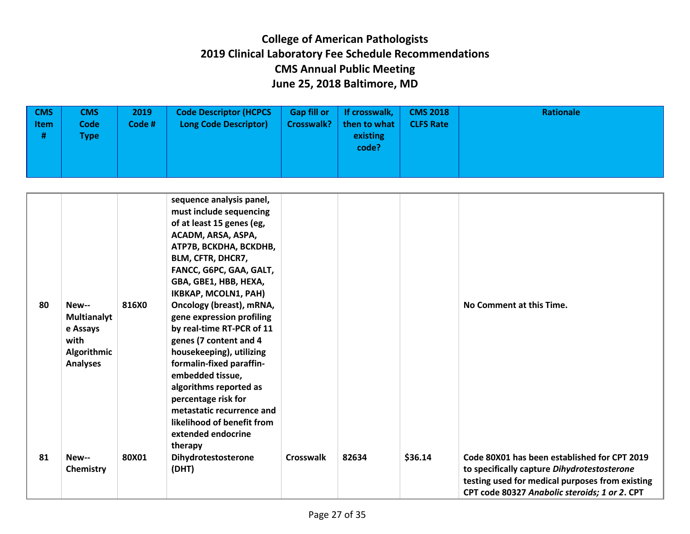| <b>CMS</b><br><b>Item</b><br># | <b>CMS</b><br><b>Code</b><br><b>Type</b> | 2019<br>Code # | <b>Code Descriptor (HCPCS)</b><br><b>Long Code Descriptor)</b> | <b>Gap fill or</b><br><b>Crosswalk?</b> | If crosswalk, $\vert$<br>then to what<br>existing<br>code? | <b>CMS 2018</b><br><b>CLFS Rate</b> | Rationale |
|--------------------------------|------------------------------------------|----------------|----------------------------------------------------------------|-----------------------------------------|------------------------------------------------------------|-------------------------------------|-----------|
|                                |                                          |                |                                                                |                                         |                                                            |                                     |           |

| 80<br>81 | New--<br>Multianalyt<br>e Assays<br>with<br>Algorithmic<br><b>Analyses</b><br>New-- | 816X0<br>80X01 | sequence analysis panel,<br>must include sequencing<br>of at least 15 genes (eg,<br>ACADM, ARSA, ASPA,<br>АТР7В, ВСКОНА, ВСКОНВ,<br>BLM, CFTR, DHCR7,<br>FANCC, G6PC, GAA, GALT,<br>GBA, GBE1, HBB, HEXA,<br>IKBKAP, MCOLN1, PAH)<br>Oncology (breast), mRNA,<br>gene expression profiling<br>by real-time RT-PCR of 11<br>genes (7 content and 4<br>housekeeping), utilizing<br>formalin-fixed paraffin-<br>embedded tissue,<br>algorithms reported as<br>percentage risk for<br>metastatic recurrence and<br>likelihood of benefit from<br>extended endocrine<br>therapy<br>Dihydrotestosterone | Crosswalk | 82634 | \$36.14 | No Comment at this Time.<br>Code 80X01 has been established for CPT 2019                                                                        |
|----------|-------------------------------------------------------------------------------------|----------------|---------------------------------------------------------------------------------------------------------------------------------------------------------------------------------------------------------------------------------------------------------------------------------------------------------------------------------------------------------------------------------------------------------------------------------------------------------------------------------------------------------------------------------------------------------------------------------------------------|-----------|-------|---------|-------------------------------------------------------------------------------------------------------------------------------------------------|
|          | Chemistry                                                                           |                | (DHT)                                                                                                                                                                                                                                                                                                                                                                                                                                                                                                                                                                                             |           |       |         | to specifically capture Dihydrotestosterone<br>testing used for medical purposes from existing<br>CPT code 80327 Anabolic steroids; 1 or 2. CPT |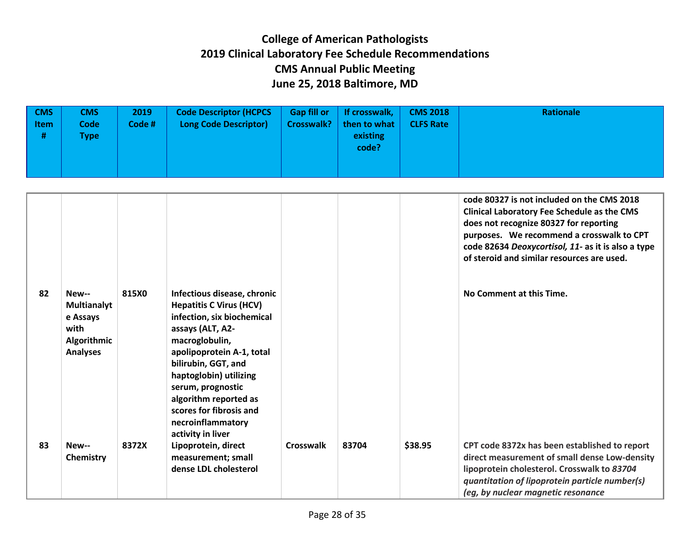| <b>CMS</b><br><b>Item</b><br># | <b>CMS</b><br><b>Code</b><br><b>Type</b> | 2019<br>Code # | <b>Code Descriptor (HCPCS</b><br><b>Long Code Descriptor)</b> | <b>Gap fill or</b><br><b>Crosswalk?</b> | If crosswalk,<br>then to what<br>existing<br>code? | <b>CMS 2018</b><br><b>CLFS Rate</b> | Rationale |
|--------------------------------|------------------------------------------|----------------|---------------------------------------------------------------|-----------------------------------------|----------------------------------------------------|-------------------------------------|-----------|
|                                |                                          |                |                                                               |                                         |                                                    |                                     |           |

|    |                                                                                          |       |                                                                                                                                                                                                                                                                                                                                    |                  |       |         | code 80327 is not included on the CMS 2018<br><b>Clinical Laboratory Fee Schedule as the CMS</b><br>does not recognize 80327 for reporting<br>purposes. We recommend a crosswalk to CPT<br>code 82634 Deoxycortisol, 11- as it is also a type<br>of steroid and similar resources are used. |
|----|------------------------------------------------------------------------------------------|-------|------------------------------------------------------------------------------------------------------------------------------------------------------------------------------------------------------------------------------------------------------------------------------------------------------------------------------------|------------------|-------|---------|---------------------------------------------------------------------------------------------------------------------------------------------------------------------------------------------------------------------------------------------------------------------------------------------|
| 82 | New--<br><b>Multianalyt</b><br>e Assays<br>with<br><b>Algorithmic</b><br><b>Analyses</b> | 815X0 | Infectious disease, chronic<br><b>Hepatitis C Virus (HCV)</b><br>infection, six biochemical<br>assays (ALT, A2-<br>macroglobulin,<br>apolipoprotein A-1, total<br>bilirubin, GGT, and<br>haptoglobin) utilizing<br>serum, prognostic<br>algorithm reported as<br>scores for fibrosis and<br>necroinflammatory<br>activity in liver |                  |       |         | No Comment at this Time.                                                                                                                                                                                                                                                                    |
| 83 | New--<br>Chemistry                                                                       | 8372X | Lipoprotein, direct<br>measurement; small<br>dense LDL cholesterol                                                                                                                                                                                                                                                                 | <b>Crosswalk</b> | 83704 | \$38.95 | CPT code 8372x has been established to report<br>direct measurement of small dense Low-density<br>lipoprotein cholesterol. Crosswalk to 83704<br>quantitation of lipoprotein particle number(s)<br>(eg, by nuclear magnetic resonance                                                       |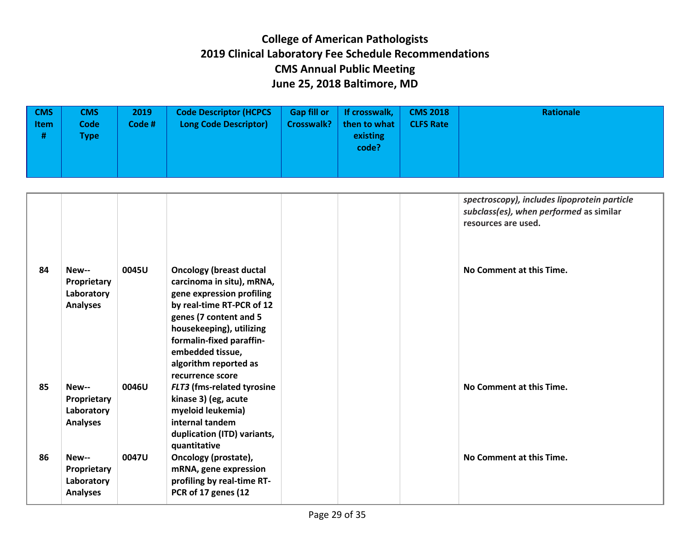| <b>CMS</b><br><b>Item</b><br># | <b>CMS</b><br><b>Code</b><br>[ype] | 2019<br>Code # | <b>Code Descriptor (HCPCS</b><br><b>Long Code Descriptor)</b> | <b>Gap fill or</b><br><b>Crosswalk?</b> | If crosswalk,<br>then to what<br>existing<br>code? | <b>CMS 2018</b><br><b>CLFS Rate</b> | Rationale |
|--------------------------------|------------------------------------|----------------|---------------------------------------------------------------|-----------------------------------------|----------------------------------------------------|-------------------------------------|-----------|
|                                |                                    |                |                                                               |                                         |                                                    |                                     |           |

|    |                                                       |       |                                                                                                                                                                                                                                                                          |  | spectroscopy), includes lipoprotein particle<br>subclass(es), when performed as similar<br>resources are used. |
|----|-------------------------------------------------------|-------|--------------------------------------------------------------------------------------------------------------------------------------------------------------------------------------------------------------------------------------------------------------------------|--|----------------------------------------------------------------------------------------------------------------|
| 84 | New--<br>Proprietary<br>Laboratory<br><b>Analyses</b> | 0045U | <b>Oncology (breast ductal</b><br>carcinoma in situ), mRNA,<br>gene expression profiling<br>by real-time RT-PCR of 12<br>genes (7 content and 5<br>housekeeping), utilizing<br>formalin-fixed paraffin-<br>embedded tissue,<br>algorithm reported as<br>recurrence score |  | No Comment at this Time.                                                                                       |
| 85 | New--<br>Proprietary<br>Laboratory<br><b>Analyses</b> | 0046U | FLT3 (fms-related tyrosine<br>kinase 3) (eg, acute<br>myeloid leukemia)<br>internal tandem<br>duplication (ITD) variants,<br>quantitative                                                                                                                                |  | No Comment at this Time.                                                                                       |
| 86 | New--<br>Proprietary<br>Laboratory<br><b>Analyses</b> | 0047U | Oncology (prostate),<br>mRNA, gene expression<br>profiling by real-time RT-<br>PCR of 17 genes (12                                                                                                                                                                       |  | No Comment at this Time.                                                                                       |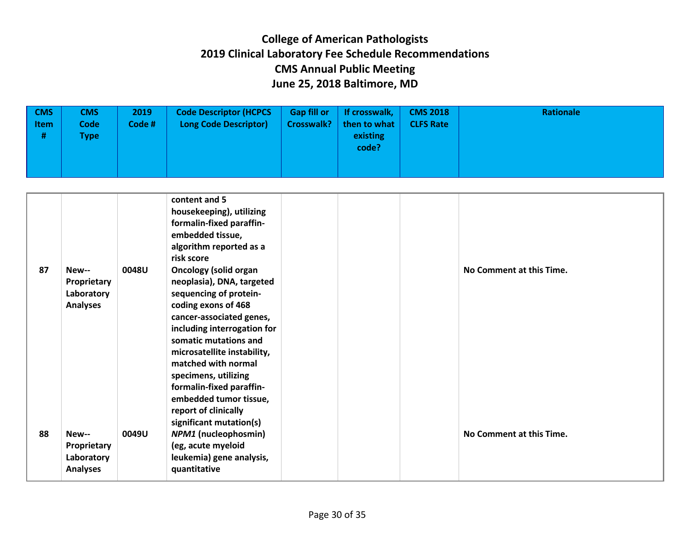| $ $ CMS<br><b>Item</b><br># | <b>CMS</b><br><b>Code</b><br><b>Type</b> | 2019<br>Code # | <b>Code Descriptor (HCPCS</b><br><b>Long Code Descriptor)</b> | <b>Gap fill or</b><br><b>Crosswalk?</b> | If crosswalk,<br>then to what<br>existing<br>code? | <b>CMS 2018</b><br><b>CLFS Rate</b> | <b>Rationale</b> |
|-----------------------------|------------------------------------------|----------------|---------------------------------------------------------------|-----------------------------------------|----------------------------------------------------|-------------------------------------|------------------|
|                             |                                          |                |                                                               |                                         |                                                    |                                     |                  |

| 87 | New--<br>Proprietary<br>Laboratory<br><b>Analyses</b> | 0048U | content and 5<br>housekeeping), utilizing<br>formalin-fixed paraffin-<br>embedded tissue,<br>algorithm reported as a<br>risk score<br><b>Oncology (solid organ</b><br>neoplasia), DNA, targeted<br>sequencing of protein-<br>coding exons of 468<br>cancer-associated genes,<br>including interrogation for<br>somatic mutations and<br>microsatellite instability,<br>matched with normal<br>specimens, utilizing<br>formalin-fixed paraffin- | No Comment at this Time. |
|----|-------------------------------------------------------|-------|------------------------------------------------------------------------------------------------------------------------------------------------------------------------------------------------------------------------------------------------------------------------------------------------------------------------------------------------------------------------------------------------------------------------------------------------|--------------------------|
| 88 | New--<br>Proprietary<br>Laboratory<br><b>Analyses</b> | 0049U | embedded tumor tissue,<br>report of clinically<br>significant mutation(s)<br><b>NPM1</b> (nucleophosmin)<br>(eg, acute myeloid<br>leukemia) gene analysis,<br>quantitative                                                                                                                                                                                                                                                                     | No Comment at this Time. |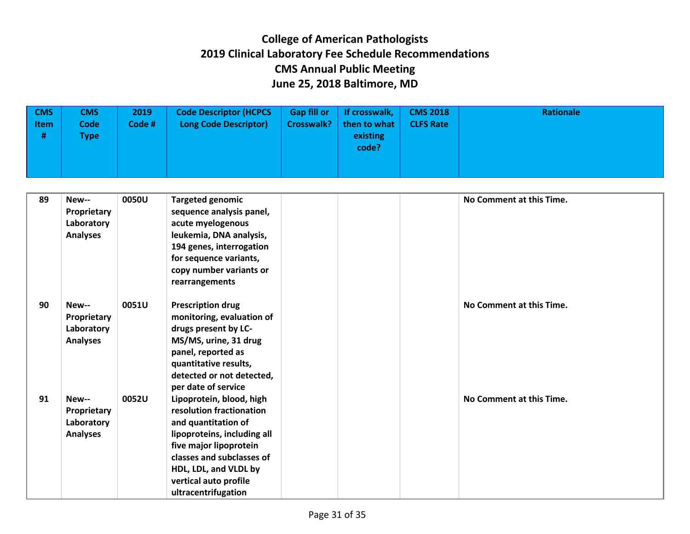| <b>CMS</b><br><b>Item</b><br># | <b>CMS</b><br><b>Code</b><br><b>Type</b> | 2019<br>Code # | <b>Code Descriptor (HCPCS)</b><br><b>Long Code Descriptor)</b> | <b>Gap fill or</b><br><b>Crosswalk?</b> | If crosswalk, $\vert$<br>then to what<br>existing<br>code? | <b>CMS 2018</b><br><b>CLFS Rate</b> | Rationale |
|--------------------------------|------------------------------------------|----------------|----------------------------------------------------------------|-----------------------------------------|------------------------------------------------------------|-------------------------------------|-----------|
|                                |                                          |                |                                                                |                                         |                                                            |                                     |           |

| 89 | New--<br>Proprietary<br>Laboratory<br><b>Analyses</b> | 0050U | <b>Targeted genomic</b><br>sequence analysis panel,<br>acute myelogenous<br>leukemia, DNA analysis,<br>194 genes, interrogation                                                                                                            |  | No Comment at this Time. |
|----|-------------------------------------------------------|-------|--------------------------------------------------------------------------------------------------------------------------------------------------------------------------------------------------------------------------------------------|--|--------------------------|
|    |                                                       |       | for sequence variants,<br>copy number variants or<br>rearrangements                                                                                                                                                                        |  |                          |
| 90 | New--<br>Proprietary<br>Laboratory<br><b>Analyses</b> | 0051U | <b>Prescription drug</b><br>monitoring, evaluation of<br>drugs present by LC-<br>MS/MS, urine, 31 drug<br>panel, reported as<br>quantitative results,<br>detected or not detected,<br>per date of service                                  |  | No Comment at this Time. |
| 91 | New--<br>Proprietary<br>Laboratory<br><b>Analyses</b> | 0052U | Lipoprotein, blood, high<br>resolution fractionation<br>and quantitation of<br>lipoproteins, including all<br>five major lipoprotein<br>classes and subclasses of<br>HDL, LDL, and VLDL by<br>vertical auto profile<br>ultracentrifugation |  | No Comment at this Time. |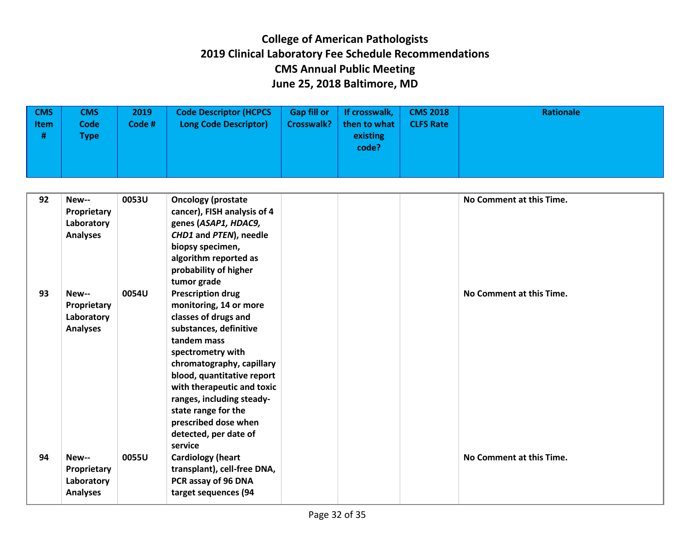| <b>CMS</b><br><b>Item</b><br># | <b>CMS</b><br><b>Code</b><br><b>Type</b> | 2019<br>Code # | <b>Code Descriptor (HCPCS</b><br><b>Long Code Descriptor)</b> | <b>Gap fill or</b><br><b>Crosswalk?</b> | If crosswalk,<br>then to what<br>existing<br>code? | <b>CMS 2018</b><br><b>CLFS Rate</b> | Rationale |
|--------------------------------|------------------------------------------|----------------|---------------------------------------------------------------|-----------------------------------------|----------------------------------------------------|-------------------------------------|-----------|
|                                |                                          |                |                                                               |                                         |                                                    |                                     |           |

| 92 | New--<br>Proprietary<br>Laboratory<br><b>Analyses</b> | 0053U | <b>Oncology (prostate</b><br>cancer), FISH analysis of 4<br>genes (ASAP1, HDAC9,<br>CHD1 and PTEN), needle<br>biopsy specimen,<br>algorithm reported as<br>probability of higher                                                                                                                                             |  | No Comment at this Time. |
|----|-------------------------------------------------------|-------|------------------------------------------------------------------------------------------------------------------------------------------------------------------------------------------------------------------------------------------------------------------------------------------------------------------------------|--|--------------------------|
| 93 | New--<br>Proprietary<br>Laboratory<br><b>Analyses</b> | 0054U | tumor grade<br><b>Prescription drug</b><br>monitoring, 14 or more<br>classes of drugs and<br>substances, definitive<br>tandem mass<br>spectrometry with<br>chromatography, capillary<br>blood, quantitative report<br>with therapeutic and toxic<br>ranges, including steady-<br>state range for the<br>prescribed dose when |  | No Comment at this Time. |
| 94 | New--<br>Proprietary<br>Laboratory<br><b>Analyses</b> | 0055U | detected, per date of<br>service<br><b>Cardiology (heart</b><br>transplant), cell-free DNA,<br>PCR assay of 96 DNA<br>target sequences (94                                                                                                                                                                                   |  | No Comment at this Time. |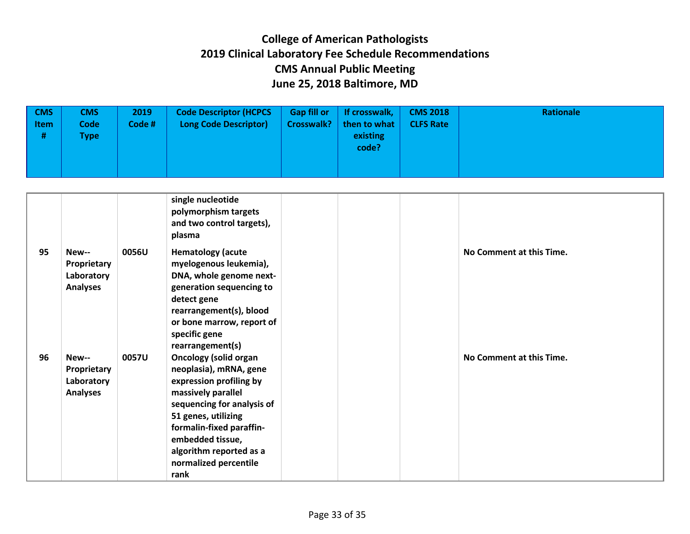| $\sqrt{CMS}$<br><b>Item</b><br># | <b>CMS</b><br><b>Code</b><br><b>Type</b> | 2019<br>Code # | <b>Code Descriptor (HCPCS</b><br><b>Long Code Descriptor)</b> | <b>Gap fill or</b><br><b>Crosswalk?</b> | If crosswalk,<br>then to what<br>existing<br>code? | <b>CMS 2018</b><br><b>CLFS Rate</b> | Rationale |
|----------------------------------|------------------------------------------|----------------|---------------------------------------------------------------|-----------------------------------------|----------------------------------------------------|-------------------------------------|-----------|
|                                  |                                          |                |                                                               |                                         |                                                    |                                     |           |

|    |                                                       |       | single nucleotide<br>polymorphism targets<br>and two control targets),<br>plasma                                                                                                                                                                                         |  |                          |
|----|-------------------------------------------------------|-------|--------------------------------------------------------------------------------------------------------------------------------------------------------------------------------------------------------------------------------------------------------------------------|--|--------------------------|
| 95 | New--<br>Proprietary<br>Laboratory<br><b>Analyses</b> | 0056U | <b>Hematology (acute</b><br>myelogenous leukemia),<br>DNA, whole genome next-<br>generation sequencing to<br>detect gene<br>rearrangement(s), blood<br>or bone marrow, report of<br>specific gene<br>rearrangement(s)                                                    |  | No Comment at this Time. |
| 96 | New--<br>Proprietary<br>Laboratory<br><b>Analyses</b> | 0057U | <b>Oncology (solid organ</b><br>neoplasia), mRNA, gene<br>expression profiling by<br>massively parallel<br>sequencing for analysis of<br>51 genes, utilizing<br>formalin-fixed paraffin-<br>embedded tissue,<br>algorithm reported as a<br>normalized percentile<br>rank |  | No Comment at this Time. |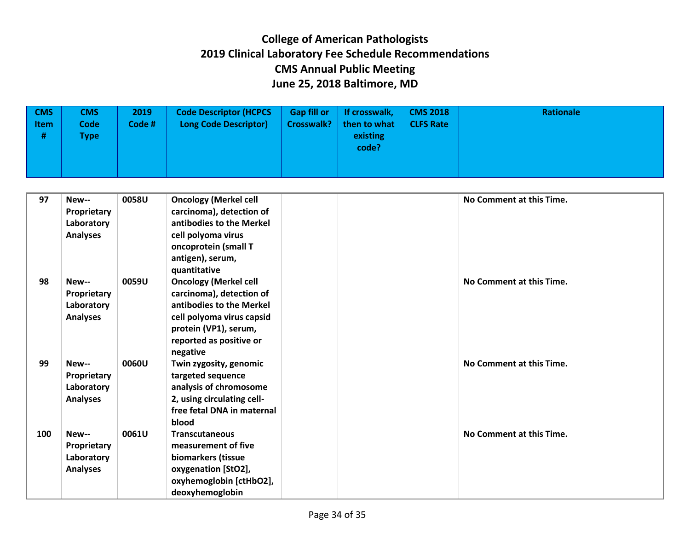| $\sqrt{CMS}$<br><b>Item</b><br># | <b>CMS</b><br><b>Code</b><br><b>Type</b> | 2019<br>Code# | <b>Code Descriptor (HCPCS</b><br><b>Long Code Descriptor)</b> | <b>Gap fill or</b><br><b>Crosswalk?</b> | If crosswalk,<br>then to what<br>existing<br>code? | <b>CMS 2018</b><br><b>CLFS Rate</b> | Rationale |
|----------------------------------|------------------------------------------|---------------|---------------------------------------------------------------|-----------------------------------------|----------------------------------------------------|-------------------------------------|-----------|
|                                  |                                          |               |                                                               |                                         |                                                    |                                     |           |

| 97  | New--              | 0058U | <b>Oncology (Merkel cell</b> | No Comment at this Time. |
|-----|--------------------|-------|------------------------------|--------------------------|
|     | Proprietary        |       | carcinoma), detection of     |                          |
|     | Laboratory         |       | antibodies to the Merkel     |                          |
|     | <b>Analyses</b>    |       | cell polyoma virus           |                          |
|     |                    |       | oncoprotein (small T         |                          |
|     |                    |       | antigen), serum,             |                          |
|     |                    |       | quantitative                 |                          |
| 98  | New--              | 0059U | <b>Oncology (Merkel cell</b> | No Comment at this Time. |
|     | Proprietary        |       | carcinoma), detection of     |                          |
|     | Laboratory         |       | antibodies to the Merkel     |                          |
|     | <b>Analyses</b>    |       | cell polyoma virus capsid    |                          |
|     |                    |       | protein (VP1), serum,        |                          |
|     |                    |       | reported as positive or      |                          |
|     |                    |       | negative                     |                          |
| 99  | New--              | 0060U | Twin zygosity, genomic       | No Comment at this Time. |
|     | <b>Proprietary</b> |       | targeted sequence            |                          |
|     | Laboratory         |       | analysis of chromosome       |                          |
|     | <b>Analyses</b>    |       | 2, using circulating cell-   |                          |
|     |                    |       | free fetal DNA in maternal   |                          |
|     |                    |       | blood                        |                          |
| 100 | New--              | 0061U | <b>Transcutaneous</b>        | No Comment at this Time. |
|     | Proprietary        |       | measurement of five          |                          |
|     | Laboratory         |       | biomarkers (tissue           |                          |
|     | <b>Analyses</b>    |       | oxygenation [StO2],          |                          |
|     |                    |       | oxyhemoglobin [ctHbO2],      |                          |
|     |                    |       | deoxyhemoglobin              |                          |
|     |                    |       |                              |                          |